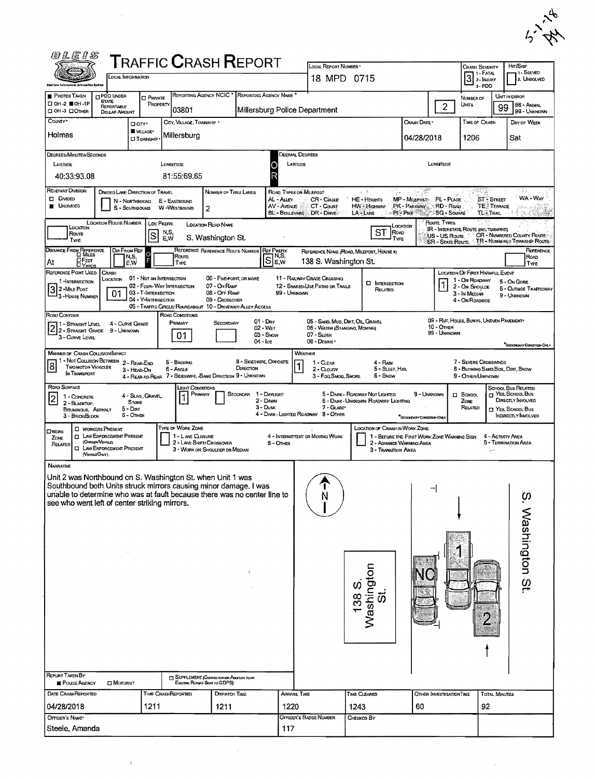|   | ሌ           |
|---|-------------|
| ÷ | ÷<br>ı<br>◡ |

 $\sim 10^{-1}$ 

| <i>©LEIS</i>                                                                                                                   | <b>TRAFFIC CRASH REPORT</b>                                                      |                                                   |                                                                | LOCAL REPORT NUMBER *                       |                                                                               |                                                    |                                          | <b>CRASH SEVERITY</b>                        | Hrt/Skip                                                           |
|--------------------------------------------------------------------------------------------------------------------------------|----------------------------------------------------------------------------------|---------------------------------------------------|----------------------------------------------------------------|---------------------------------------------|-------------------------------------------------------------------------------|----------------------------------------------------|------------------------------------------|----------------------------------------------|--------------------------------------------------------------------|
| LOCAL INFORMATION                                                                                                              |                                                                                  |                                                   |                                                                | 18 MPD 0715                                 |                                                                               |                                                    |                                          | 1 - Fatal<br>$3$ 2- <b>MURY</b>              | 1 - Solved<br>2. UNSOLVED                                          |
|                                                                                                                                |                                                                                  |                                                   |                                                                |                                             |                                                                               |                                                    |                                          | $3 - PDO$                                    |                                                                    |
| <b>PHOTOS TAKEN</b><br><b>DPDD UNDER</b><br><b>STATE</b><br>□ OH-2 ■ OH-1P<br>REPORTABLE                                       | REPORTING AGENCY NCIC <sup>*</sup><br><b>CI PRIVATE</b><br>PROPERTY              | REPORTING AGENCY NAME *                           |                                                                |                                             |                                                                               |                                                    | $\overline{2}$                           | NUMBER OF<br>Units                           | UNIT IN ERROR<br>98 - Antikal                                      |
| <b>OH-3 DOTHER</b><br>DOLLAR AMOUNT                                                                                            | 03801                                                                            |                                                   | Millersburg Police Department                                  |                                             |                                                                               |                                                    |                                          |                                              | 99<br>99 - UNKNOWN                                                 |
| County -                                                                                                                       | CITY, VILLAGE, TOWNSHIP<br><b>O</b> city ·<br><b>WILLAGE*</b>                    |                                                   |                                                                |                                             |                                                                               | Crash Date -                                       |                                          | TIME OF CRASH                                | DAY OF WEEK                                                        |
| Holmes                                                                                                                         | Millersburg<br><b>CI TOWNSHIP</b>                                                |                                                   |                                                                |                                             |                                                                               | 04/28/2018                                         |                                          | 1206                                         | Sat                                                                |
| Degrees/Minutes/Seconds                                                                                                        |                                                                                  |                                                   | DECIMAL DEGREES                                                |                                             |                                                                               |                                                    |                                          |                                              |                                                                    |
| LATTUDE                                                                                                                        | LONGITUDE                                                                        |                                                   | LATTUDE                                                        |                                             |                                                                               |                                                    | Longmine                                 |                                              |                                                                    |
| 40:33:93.08                                                                                                                    | 81:55:69.65                                                                      |                                                   |                                                                |                                             |                                                                               |                                                    |                                          |                                              |                                                                    |
| ROADWAY DIVISION<br>DIVIDED LANE DIRECTION OF TRAVEL                                                                           |                                                                                  | NUMBER OF THRU LANES                              | ROAD TYPES OR MILEPOST                                         |                                             | $x - 3$                                                                       |                                                    |                                          |                                              | 1 E g                                                              |
| <b>D</b> DMDED<br>N - NORTHBOUND<br>UNDIVIDED<br>S - SOUTHBOUND                                                                | E - EASTBOUND<br>W-WestBOUND<br>2                                                |                                                   | AL - ALLEY<br>AV - AVENUE                                      | CR-Cincus<br>CT - Count                     | <b>HE-HEIGHTS</b><br>HW - Highway                                             | MP - MILEPOST PL - PLACE<br>PK - PARKWAY RD - ROAD |                                          | <b>ST-STREET</b><br><b>TE</b> TERRACE        | WA-WAY                                                             |
| <b>LOCATION ROUTE NUMBER</b>                                                                                                   |                                                                                  |                                                   | <b>BL-BOULEVARD</b>                                            | DR-DAME                                     | $LA - LANE$                                                                   | ାମ୍ବାଲ∉                                            | SQ - SouARE<br>Route TYPES               | <b>TL</b> TRAIL                              |                                                                    |
| LOCATION<br>Route                                                                                                              | Loc Prefix<br>LOCATION ROAD NAME<br>N,S,<br>ls                                   |                                                   |                                                                |                                             | LOCATION<br>ST<br>ROAD                                                        |                                                    |                                          | <b>IR - INTERSTATE ROUTE (INC. TURNPIKE)</b> |                                                                    |
| TYPE                                                                                                                           | E.W                                                                              | S. Washington St.                                 |                                                                |                                             | TYPE                                                                          |                                                    | US - US Route<br><b>SR - STATE ROUTE</b> |                                              | <b>CR - NUMBERED COUNTY ROUTE</b><br>TR - NUMBERED TOWNSHIP ROUTE: |
| <b>DISTANCE FROM REFERENCE</b><br>DIR FROM REF<br>⊡M⊪u∈s<br>N,S,                                                               | $\frac{0}{5}$<br>Route                                                           | REFERENCE REFERENCE ROUTE NUMBER REF PREFIX       | Se.w                                                           |                                             | REFERENCE NAME (ROAD, MILEPOST, HOUSE #)                                      |                                                    |                                          |                                              | <b>FLEFERENCE</b><br><b>ROAD</b>                                   |
| <b>OFEET</b><br>DYARDS<br>At<br>EW<br><b>REFERENCE POINT USED</b><br>CRASH                                                     | TYPE                                                                             |                                                   |                                                                | 138 S. Washington St.                       |                                                                               |                                                    |                                          | <b>LOCATION OF FIRST HARMFUL EVENT</b>       | Type                                                               |
| LOCATION<br>1-INTERSECTION                                                                                                     | 01 - Not an Intersection<br>02 - FOUR-WAY INTERSECTION                           | 06 - FIVE-POINT, OR MORE                          | 11 - RAILWAY GRADE CROSSING<br>12 - SHARED-USE PATHS OR TRAILS |                                             | <b>CI INTERSECTION</b>                                                        |                                                    | 1                                        | 1 - ON ROADWAY                               | 5 - On Gore                                                        |
| 3 2-MiLE POST<br>01<br>3 - House Number                                                                                        | 03 - T-INTERSECTION                                                              | 07 - On RAMP<br>08 - OFF RAMP                     | 99 - Unknown                                                   |                                             | Related                                                                       |                                                    |                                          | 2 - On Shoulde<br>3 - In Median              | 6 - OUTSIDE TRAFFICWAY<br>9 - Unionovan                            |
|                                                                                                                                | 04 - Y-INTERSECTION<br>05 - TRAFFIC CIRCLE/ROUNDABOUT 10 - DRIVEWAY/ALLEY ACCESS | 09 - Crossover                                    |                                                                |                                             |                                                                               |                                                    |                                          | 4 - ON ROADSIDE                              |                                                                    |
| ROAD CONTOUR<br>4 - CURVE GRADE<br>1 - STRAIGHT LEVEL                                                                          | ROAD CONDITIONS<br>Primary                                                       | $01 - Draw$<br>SECONDARY                          |                                                                | 05 - SAND, MUD, DIRT, OIL, GRAVEL           |                                                                               |                                                    |                                          | 09 - Rut, HOLES, BUMPS, UNEVEN PAVEMENT*     |                                                                    |
| 2 - STRAIGHT GRADE 9 - UNKNOWN                                                                                                 | 01                                                                               | 02 - WET<br>$03 -$ SNOW                           |                                                                | 06 - WATER (STANDING, MOVING)<br>07 - SLUSH |                                                                               |                                                    | 10 - Опея<br>99 - Unknown                |                                              |                                                                    |
| 3 - Curve Level                                                                                                                |                                                                                  | 04 - Ice                                          |                                                                | $08 -$ DEBRIS                               |                                                                               |                                                    |                                          |                                              | <sup>*</sup> Seconduay Conoman Only                                |
| <b>MANNER OF CRASH COLUSION/IMPACT</b><br>1 - Not COLLISION BETWEEN 2 - REAR-END                                               | 5 - BACKING                                                                      | 8 - Sioeswipe, Opposite                           | WEATHER                                                        |                                             |                                                                               |                                                    |                                          | 7 - SEVERE CROSSWINDS                        |                                                                    |
| 8<br><b>TWO MOTOR VEHICLES</b><br>3 - HEAD-ON<br>In Transport                                                                  | 6 - ANGLE                                                                        | DIRECTION                                         |                                                                | 1 - CLEAR<br>2 - CLOUDY                     | 4 - Rain<br>5 - SLEET HAIL                                                    |                                                    |                                          | 8 - BLOWING SAND, SOIL, DIRT, SNOW           |                                                                    |
| ROAD SURFACE                                                                                                                   | 4 - REAR-TO-REAR 7 - SIDESWIPE, SAME DIRECTION 9 - UNKNOWN                       |                                                   |                                                                | 3 - Fog, SMOG, SMOKE                        | 6 - Snow                                                                      |                                                    |                                          | 9 - OTHER/UNKNOWN                            |                                                                    |
| $\vert$ 2<br>1 - CONCRETE                                                                                                      | Light Conditions<br>PRIMARY<br>4 - Slag, Gravel,                                 | SECONDAR 1 - DAYLIGHT                             |                                                                |                                             | 5 - DARK - ROADWAY NOT LIGHTED                                                | 9 - UNKNOWN                                        |                                          | C SCHOOL                                     | SCHOOL BUS RELATED<br>YES, SCHOOL BUS                              |
| Stone<br>2 - BLACKTOP,<br>$5 -$ DIRT<br>BITUMINOUS, ASPHALT                                                                    |                                                                                  | 2 - DAWN<br>3 - Dusk                              |                                                                | 7 - GLARE*                                  | 6 - DARK - UNKNOWN ROADWAY LIGHTING                                           |                                                    |                                          | ZONE<br>RELATED                              | <b>DIRECTLY INVOLVED</b><br>T YES, SCHOOL BUS                      |
| <b>6 - OTHER</b><br>3 - Brick/BLOCK                                                                                            |                                                                                  |                                                   | 4 - DARK - LIGHTED ROADWAY 8 - OTHER                           |                                             |                                                                               | "SECONDARY CONDITION ONLY                          |                                          |                                              | INDIRECTLY INVOLVED                                                |
| <b>CI WORKERS PRESENT</b><br>OWORK<br><b>CI LAW ENFORCEMENT PRESENT</b><br>ZONE                                                | TYPE OF WORK ZONE<br>1 - LANE CLOSURE                                            |                                                   | 4 - INTERMITTENT OR MOVING WORK                                |                                             | LOCATION OF CRASH IN WORK ZONE<br>1 - BEFORE THE FIRST WORK ZONE WARNING SIGN |                                                    |                                          |                                              | 4 - ACTIVITY AREA                                                  |
| (OFFICENVENIOLE)<br>RELATED<br><b>CI LAW ENFORCEMENT PRESENT</b>                                                               | 2 - LANE SHIFT/ CROSSOVER<br>3 - WORK ON SHOULDER OR MEDIAN                      |                                                   | 5 - OTHER                                                      |                                             | 2 - ADVANCE WARNING AREA<br>3 - Transition Area                               |                                                    |                                          | ,,,,                                         | 5 - TERMINATION AREA                                               |
| (VerraueOnly)                                                                                                                  |                                                                                  |                                                   |                                                                |                                             |                                                                               |                                                    |                                          |                                              |                                                                    |
| <b>NARRATIVE</b>                                                                                                               |                                                                                  |                                                   |                                                                |                                             |                                                                               |                                                    |                                          |                                              |                                                                    |
| Unit 2 was Northbound on S. Washington St. when Unit 1 was<br>Southbound both Units struck mirrors causing minor damage. I was |                                                                                  |                                                   |                                                                |                                             |                                                                               |                                                    |                                          |                                              |                                                                    |
| unable to determine who was at fault because there was no center line to                                                       |                                                                                  |                                                   |                                                                | N                                           |                                                                               |                                                    |                                          |                                              | დ.<br>-                                                            |
| see who went left of center striking mirrors.                                                                                  |                                                                                  |                                                   |                                                                |                                             |                                                                               |                                                    |                                          |                                              |                                                                    |
|                                                                                                                                |                                                                                  |                                                   |                                                                |                                             |                                                                               |                                                    |                                          |                                              |                                                                    |
|                                                                                                                                |                                                                                  |                                                   |                                                                |                                             |                                                                               |                                                    |                                          |                                              |                                                                    |
|                                                                                                                                |                                                                                  |                                                   |                                                                |                                             |                                                                               |                                                    |                                          |                                              |                                                                    |
|                                                                                                                                |                                                                                  |                                                   |                                                                |                                             |                                                                               |                                                    |                                          |                                              |                                                                    |
|                                                                                                                                |                                                                                  |                                                   |                                                                |                                             |                                                                               |                                                    |                                          |                                              |                                                                    |
|                                                                                                                                |                                                                                  |                                                   |                                                                |                                             | Washington<br>St.<br>o,                                                       |                                                    |                                          |                                              | Washington St.                                                     |
|                                                                                                                                |                                                                                  |                                                   |                                                                |                                             | 138                                                                           |                                                    |                                          |                                              |                                                                    |
|                                                                                                                                |                                                                                  |                                                   |                                                                |                                             |                                                                               |                                                    |                                          |                                              |                                                                    |
|                                                                                                                                |                                                                                  |                                                   |                                                                |                                             |                                                                               |                                                    |                                          |                                              |                                                                    |
|                                                                                                                                |                                                                                  |                                                   |                                                                |                                             |                                                                               |                                                    |                                          |                                              |                                                                    |
|                                                                                                                                |                                                                                  |                                                   |                                                                |                                             |                                                                               |                                                    |                                          |                                              |                                                                    |
|                                                                                                                                |                                                                                  |                                                   |                                                                |                                             |                                                                               |                                                    |                                          |                                              |                                                                    |
| REPORT TAKEN BY                                                                                                                |                                                                                  |                                                   |                                                                |                                             |                                                                               |                                                    |                                          |                                              |                                                                    |
| POLICE AGENCY<br><b>DI</b> MOTORIST                                                                                            | Existing Report Sent to ODPS)                                                    | <b>J</b> SUPPLEMENT (CORRECTION OR ADDITION TO AN |                                                                |                                             |                                                                               |                                                    |                                          |                                              |                                                                    |
| DATE CRASHREPORTEO                                                                                                             | TIME CRASHREPORTED                                                               | <b>DISPATCH TIME</b>                              | ARRIVAL TIME                                                   |                                             | TIME CLEARED                                                                  |                                                    | OTHER INVESTIGATION TIME                 | <b>TOTAL MINUTES</b>                         |                                                                    |
| 04/28/2018                                                                                                                     | 1211                                                                             | 1211                                              | 1220                                                           |                                             | 1243                                                                          | 60                                                 |                                          | 92                                           |                                                                    |
| OFFICER'S NAME*                                                                                                                |                                                                                  |                                                   | <b>OFFICER'S BADGE NUMBER</b>                                  |                                             | CHECKED BY                                                                    |                                                    |                                          |                                              |                                                                    |
| Steele, Amanda                                                                                                                 |                                                                                  |                                                   | 117                                                            |                                             |                                                                               |                                                    |                                          |                                              |                                                                    |
|                                                                                                                                |                                                                                  |                                                   |                                                                |                                             |                                                                               |                                                    |                                          |                                              |                                                                    |

 $\mathcal{L}_{\text{max}}$ 

 $\mathbf{r}^{(n)}$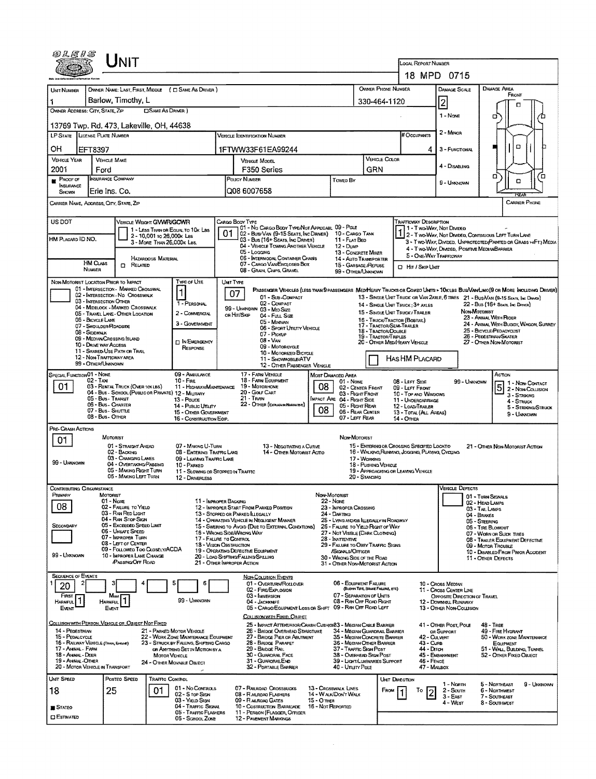| @LE1S                                                     |                                                | Unit                                                                  |                                                          |                                                                                 |                                                                           |                                                                                                                                 |                              |                                                                            |                                             |                      |                                                                      |                                                                             |                                                                                                                                                                                                                     |                     |  |
|-----------------------------------------------------------|------------------------------------------------|-----------------------------------------------------------------------|----------------------------------------------------------|---------------------------------------------------------------------------------|---------------------------------------------------------------------------|---------------------------------------------------------------------------------------------------------------------------------|------------------------------|----------------------------------------------------------------------------|---------------------------------------------|----------------------|----------------------------------------------------------------------|-----------------------------------------------------------------------------|---------------------------------------------------------------------------------------------------------------------------------------------------------------------------------------------------------------------|---------------------|--|
|                                                           |                                                |                                                                       |                                                          |                                                                                 |                                                                           |                                                                                                                                 |                              |                                                                            |                                             |                      | <b>LOCAL REPORT NUMBER</b>                                           | 18 MPD 0715                                                                 |                                                                                                                                                                                                                     |                     |  |
|                                                           |                                                |                                                                       |                                                          |                                                                                 |                                                                           |                                                                                                                                 |                              |                                                                            | OWNER PHONE NUMBER                          |                      |                                                                      | <b>DAMAGE SCALE</b>                                                         | <b>DAMAGE AREA</b>                                                                                                                                                                                                  |                     |  |
| Urat Number                                               |                                                | Barlow, Timothy, L                                                    |                                                          | OWNER NAME: LAST, FIRST, MIDDLE ( C SAME AS DRIVER )                            |                                                                           |                                                                                                                                 |                              |                                                                            | 330-464-1120                                |                      |                                                                      |                                                                             | FRONT                                                                                                                                                                                                               |                     |  |
| OWNER ADDRESS: CITY, STATE, ZIP                           |                                                |                                                                       | <b>CISAME AS DRIVER</b> )                                |                                                                                 |                                                                           |                                                                                                                                 |                              |                                                                            |                                             |                      |                                                                      | $\overline{2}$                                                              | Ω                                                                                                                                                                                                                   |                     |  |
| 13769 Twp. Rd. 473, Lakeville, OH, 44638                  |                                                |                                                                       |                                                          |                                                                                 |                                                                           |                                                                                                                                 |                              |                                                                            |                                             |                      |                                                                      | 1 - None                                                                    | σ                                                                                                                                                                                                                   | Έ                   |  |
| <b>LP STATE</b>                                           | LICENSE PLATE NUMBER                           |                                                                       |                                                          |                                                                                 |                                                                           | <b>VEHICLE IDENTIFICATION NUMBER</b>                                                                                            |                              |                                                                            |                                             |                      | # Occupants                                                          | 2 - MINOR                                                                   |                                                                                                                                                                                                                     |                     |  |
| OН                                                        | EFT8397                                        |                                                                       |                                                          |                                                                                 |                                                                           | 1FTWW33F61EA99244                                                                                                               |                              |                                                                            |                                             |                      | 4                                                                    | 3 - FUNCTIONAL                                                              | O                                                                                                                                                                                                                   |                     |  |
| <b>VEHICLE YEAR</b>                                       | <b>VEHICLE MAKE</b>                            |                                                                       |                                                          |                                                                                 |                                                                           | VEHICLE MODEL                                                                                                                   |                              |                                                                            |                                             | <b>VEHICLE COLOR</b> |                                                                      | 4 - DISABLING                                                               |                                                                                                                                                                                                                     |                     |  |
| 2001                                                      | Ford<br><b>INSURANCE COMPANY</b>               |                                                                       |                                                          |                                                                                 |                                                                           | F350 Series<br>POLICY NUMBER                                                                                                    |                              |                                                                            | GRN                                         |                      |                                                                      |                                                                             | о                                                                                                                                                                                                                   | Έ                   |  |
| PROOF OF<br>INSURANCE<br>SHOWN                            | Erie Ins. Co.                                  |                                                                       |                                                          |                                                                                 |                                                                           | Q08 6007658                                                                                                                     |                              | Towed BY                                                                   |                                             |                      |                                                                      | 9 - Unknown                                                                 | o                                                                                                                                                                                                                   |                     |  |
| CARRIER NAME, ADDRESS, CITY, STATE, ZIP                   |                                                |                                                                       |                                                          |                                                                                 |                                                                           |                                                                                                                                 |                              |                                                                            |                                             |                      |                                                                      |                                                                             | <b>FEAR</b><br><b>CARRIER PHONE</b>                                                                                                                                                                                 |                     |  |
| US DOT                                                    |                                                |                                                                       |                                                          |                                                                                 |                                                                           | CARGO BODY TYPE                                                                                                                 |                              |                                                                            |                                             |                      | TRAFFICWAY DESCRIPTION                                               |                                                                             |                                                                                                                                                                                                                     |                     |  |
|                                                           |                                                | VEHICLE WEIGHT GVWR/GCWR                                              |                                                          | 1 - LESS THAN OR EQUAL TO 10K LBS                                               |                                                                           | 01 - No CARGO BODY TYPE/NOT APPLICABL 09 - POLE<br>02 - Bus/Van (9-15 Seats, Inc Driver)                                        |                              | 10 - Cargo Tank                                                            |                                             |                      |                                                                      | 1 - Two-Way, Nor Divideo                                                    |                                                                                                                                                                                                                     |                     |  |
| HM PLACARD ID NO.                                         |                                                |                                                                       | 2 - 10,001 to 26,000 k Las<br>3 - MORE THAN 26.000K LBS. |                                                                                 |                                                                           | 03 - Bus (16+ Seats, Inc Driver)<br>04 - VEHICLE TOWING ANOTHER VEHICLE                                                         |                              | 11 - FLAT BED<br>$12 - D_{UMP}$                                            |                                             |                      |                                                                      |                                                                             | 2 - Two-Way, Not Divided, Continuous LEFT TURN LANE<br>3 - Two-Way, Divided, UNPROTECTED (PAINTED OR GRASS >4FT.) MEDIA                                                                                             |                     |  |
|                                                           |                                                |                                                                       | HAZARDOUS MATERIAL                                       |                                                                                 |                                                                           | 05 - Logging<br>05 - INTERMODAL CONTAINER CHASIS                                                                                |                              | 13 - CONGRETE MIXER<br>14 - AUTO TRANSPORTER                               |                                             |                      | 5 - ONE-WAY TRAFFIGWAY                                               | 4 - Two-WAY, DIVIDED, POSITIVE MEDIANBARRIER                                |                                                                                                                                                                                                                     |                     |  |
|                                                           | HM CLASS<br><b>NUMBER</b>                      | <b>CO</b> RELATED                                                     |                                                          |                                                                                 |                                                                           | 07 - CARGO VAN/ENGLOSED BOX<br>08 - GRAIN, CHIPS, GRAVEL                                                                        |                              | 15 - GARBAGE /REFUSE<br>99 - OTHER/UNKNOWN                                 |                                             |                      | <b>D</b> Hir / Skip Unit                                             |                                                                             |                                                                                                                                                                                                                     |                     |  |
| NON-MOTORIST LOCATION PRIOR TO IMPACT                     |                                                | 01 - INTERSECTION - MARKED CROSSWAL                                   |                                                          | Type or Use                                                                     |                                                                           | UNIT TYPE                                                                                                                       |                              |                                                                            |                                             |                      |                                                                      |                                                                             |                                                                                                                                                                                                                     |                     |  |
|                                                           | 03 - INTERSECTION OTHER                        | 02 - INTERSECTION - NO CROSSWALK                                      |                                                          | 1                                                                               |                                                                           | 07<br>01 - Sub-COMPACT                                                                                                          |                              |                                                                            |                                             |                      |                                                                      |                                                                             | PASSENGER VEHICLES (LESS THAN 9 PASSENGERS MED/HEAVY TRUCKS OR COMBO UNITS > 10K LBS BUS/VAN/LIMO(9 OR MORE INCLUDING DRIVER)<br>13 - SINGLE UNIT TRUCK OR VAN 2AXLE, 6 TIRES 21 - BUS/VAN (9-15 Seats, Inc Draver) |                     |  |
|                                                           |                                                | 04 - MIDBLOCK - MARKED CROSSWALK<br>05 - TRAVEL LANE - OTHER LOCATION |                                                          | 1 - PERSONAL<br>2 - COMMERCIAL                                                  |                                                                           | 02 - COMPACT<br>99 - UNKNOWN 03 - MID SIZE                                                                                      |                              |                                                                            |                                             |                      | 14 - SINGLE UNIT TRUCK: 3+ AXLES<br>15 - SINGLE UNIT TRUCK / TRAILER | NON MOTORIST                                                                | 22 - Bus (16+ Seats, Inc Driver)                                                                                                                                                                                    |                     |  |
|                                                           | 06 - BICYCLE LANE<br>07 - SHOULDER/ROADSIDE    |                                                                       |                                                          | 3 - GOVERNMENT                                                                  |                                                                           | OR HIT/SKIP<br>04 - Futu Size<br>05 - MINIVAN                                                                                   |                              |                                                                            | 17 - TRACTOR/SEMI-TRAILER                   |                      | 16 - TRUCK/TRACTOR (BOSTAIL)                                         |                                                                             | 23 - ANIMAL WITH RIDER<br>24 - ANIMAL WITH BUGGY, WAGON, SURREY                                                                                                                                                     |                     |  |
|                                                           | 08 - Sidewalk<br>09 - MEDIAN/CROSSING ISLAND   |                                                                       |                                                          |                                                                                 |                                                                           | 06 - Sport Uniuty Vehicle<br>07 - Pickup<br>08 - VAN                                                                            |                              |                                                                            | 18 - TRACTOR/DOUBLE<br>19 - Tractor/Triples |                      |                                                                      |                                                                             | 25 - BICYCLE/PEDACYCLIST<br>26 - Pedestrian/Skater                                                                                                                                                                  |                     |  |
|                                                           | 10 - DRIVE WAY ACCESS                          | 11 - SHARED-USE PATH OR TRAIL                                         |                                                          | <b>IN EMERGENCY</b><br><b>RESPONSE</b>                                          | 20 - OTHER MEDIHEAVY VEHICLE<br>09 - MOTORCYCLE<br>10 - Motorizeo Bicycle |                                                                                                                                 |                              |                                                                            |                                             |                      |                                                                      | 27 - OTHER NON-MOTORIST                                                     |                                                                                                                                                                                                                     |                     |  |
|                                                           | 12 - NON-TRAFFICWAY AREA<br>99 - OTHER/UNKNOWN |                                                                       |                                                          |                                                                                 |                                                                           | 11 - SNOVMOBILE/ATV                                                                                                             | 12 - OTHER PASSENGER VEHICLE |                                                                            |                                             |                      | HAS HM PLACARD                                                       |                                                                             |                                                                                                                                                                                                                     |                     |  |
| SPECIAL FUNCTION 01 - NONE                                | $02 - T$ AXI                                   |                                                                       |                                                          | 09 - AMBULANCE<br>$10 -$ Fire                                                   |                                                                           | 17 - FARM VEHICLE<br>18 - FARM EOUIPMENT                                                                                        |                              | MOST DAMAGED AREA                                                          |                                             |                      |                                                                      |                                                                             | Action                                                                                                                                                                                                              |                     |  |
| 01                                                        |                                                | 03 - RENTAL TRUCK (OVER 10KLBS)                                       |                                                          | 11 - HIGHWAY/MAINTENANCE<br>04 - Bus - SCHOOL (PUBLIC OR PRIVATE) 12 - MILITARY |                                                                           | 19 - MOTORHOME<br>20 - Golf Cart                                                                                                | 08                           | $01 - None$<br>02 - CENTER FRONT<br>03 - Right Front                       |                                             |                      | 08 - Lerr Sine<br>09 - LEFT FRONT<br>10 - Top and Windows            | 99 - UNKNOWN                                                                | 1 - Non-Contact<br>$\overline{5}$                                                                                                                                                                                   | 2 - Non-Collision   |  |
|                                                           | 05 - Bus - Transit<br>06 - Bus - Charter       |                                                                       |                                                          | 13 - Pouce<br>14 - Pusuc UTILITY                                                |                                                                           | 21 - Train<br>22 - OTHER (EXPLANAN MARAJIVE)                                                                                    |                              | <b>IMPACT ARE 04 - RIGHT SIDE</b><br>05 - Right Rear                       |                                             |                      | 11 - UNDERCARRIAGE<br>12 - LOAD/TRAILER                              |                                                                             | 3 - STRIKING<br>4 - STRUCK                                                                                                                                                                                          | 5 - Striking/Struck |  |
|                                                           | 07 - Bus - SHUTTLE<br>08 - Bus - OTHER         |                                                                       |                                                          | 15 - OTHER GOVERNMENT<br>16 - CONSTRUCTION EQIP.                                |                                                                           |                                                                                                                                 | 08                           | 06 - REAR CENTER<br>07 - LEFT REAR                                         |                                             |                      | 13 - TOTAL (ALL AREAS)<br>14 - OTHER                                 |                                                                             | 9 - Uninown                                                                                                                                                                                                         |                     |  |
| PRE-CRASH ACTIONS                                         |                                                |                                                                       |                                                          |                                                                                 |                                                                           |                                                                                                                                 |                              |                                                                            |                                             |                      |                                                                      |                                                                             |                                                                                                                                                                                                                     |                     |  |
| 01                                                        | <b>MOTORIST</b>                                | 01 - STRAIGHT AHEAD                                                   |                                                          | 07 - MAKING U-TURN                                                              |                                                                           | 13 - NEGOTIATING A CURVE                                                                                                        |                              | NON-MOTORIST                                                               |                                             |                      | 15 - ENTERING OR CROSSING SPECIFIED LOCATIO                          |                                                                             | 21 - OTHER NON-MOTORIST ACTION                                                                                                                                                                                      |                     |  |
| 99 - Unknown                                              |                                                | 02 - BACKING<br>03 - CHANGING LANES                                   |                                                          | 08 - ENTERING TRAFFIC LANS<br>09 - LEAVING TRAFFIC LANE                         |                                                                           |                                                                                                                                 | 14 - OTHER MOTORIST ACTIO    |                                                                            | 17 - WORKING                                |                      | 16 - WALKING RUNMING, JOGGING, PLAYING, CYCLING                      |                                                                             |                                                                                                                                                                                                                     |                     |  |
|                                                           |                                                | 04 - OVERTAKING/PASSING<br>05 - MAKING RIGHT TURN                     |                                                          | 10 - PARKED<br>11 - Slowing or Stoppeo in Traffic                               |                                                                           |                                                                                                                                 |                              |                                                                            | 18 - Pushing Vehicle                        |                      | 19 - APPROACHING OR LEAVING VEHICLE                                  |                                                                             |                                                                                                                                                                                                                     |                     |  |
| <b>CONTRIBUTING CIRCUMSTANCE</b>                          |                                                | 06 - MAKING LEFT TURN                                                 |                                                          | 12 - DRIVERLESS                                                                 |                                                                           |                                                                                                                                 |                              |                                                                            | 20 - STANDING                               |                      |                                                                      | <b>VEHICLE DEFECTS</b>                                                      |                                                                                                                                                                                                                     |                     |  |
| PRIMARY                                                   | MOTORIST<br>01 - None                          |                                                                       |                                                          | 11 - IMPROPER BACKING                                                           |                                                                           |                                                                                                                                 |                              | Non-Motorist<br>22 - Nove                                                  |                                             |                      |                                                                      |                                                                             | 01 - TURN SIGNALS                                                                                                                                                                                                   |                     |  |
| 08                                                        |                                                | 02 - FAILURE TO YIELD<br>03 - RAN RED LIGHT                           |                                                          |                                                                                 |                                                                           | 12 - IMPROPER START FROM PARKED POSITION<br>13 - STOPPED OR PARKED LLEGALLY                                                     |                              | 23 - IMPROPER CROSSING<br>24 - DARTING                                     |                                             |                      |                                                                      |                                                                             | 02 - HEAD LAMPS<br>03 - TAIL LAMPS<br>04 - BRAKES                                                                                                                                                                   |                     |  |
| SECONDARY                                                 |                                                | 04 - RAN STOP SIGN<br>05 - Exceeded Speed Limit                       |                                                          |                                                                                 |                                                                           | 14 - OPERATING VEHICLE IN NEGLIGENT MANNER<br>15 - Swering to Avoid (Due to External Conditions)                                |                              | 25 - LYING AND/OR LLEGALLY IN ROADWAY<br>26 - FALURE TO YIELD RIGHT OF WAY |                                             |                      |                                                                      |                                                                             | 05 - STEERING<br>06 - TIRE BLOWOUT                                                                                                                                                                                  |                     |  |
|                                                           |                                                | 06 - UNSAFE SPEED<br>07 - IMPROPER TURN                               |                                                          | 17 - FALURE TO CONTROL                                                          |                                                                           | 16 - WRONG SIDE/WRONG WAY                                                                                                       |                              | 27 - Not Visible (DARK Clothing)<br>28 - Inattentive                       |                                             |                      |                                                                      |                                                                             | 07 - WORN OR SLICK TIRES<br>08 - TRALER EQUIPMENT DEFECTIVE                                                                                                                                                         |                     |  |
|                                                           |                                                | 08 - LEFT OF CENTER<br>09 - Followed Too Closely/ACDA                 |                                                          |                                                                                 |                                                                           | 18 - Vision Osstruction<br>29 - FALURE TO OBEY TRAFFIC SIGNS<br>19 - Operating Defective Equipment<br>/SIGNALS/OFFICER          |                              |                                                                            |                                             |                      |                                                                      |                                                                             | 09 - MOTOR TROUBLE<br>10 - DISABLED FROM PRIOR ACCIDENT                                                                                                                                                             |                     |  |
| 99 - Unknown                                              |                                                | 10 - IMPROPER LANE CHANGE<br><b>PASSING OFF ROAD</b>                  |                                                          |                                                                                 |                                                                           | 20 - LOAD SHIFTING/FALLING/SPILLING<br>21 - OTHER IMPROPER ACTION                                                               |                              | 30 - WRONG SIDE OF THE ROAD<br>31 - OTHER NON-MOTORIST ACTION              |                                             |                      |                                                                      |                                                                             | 11 - OTHER DEFECTS                                                                                                                                                                                                  |                     |  |
| <b>SEQUENCE OF EVENTS</b>                                 |                                                |                                                                       |                                                          |                                                                                 |                                                                           | NON-COLUSION EVENTS<br>01 - OVERTURN/ROLLOVER                                                                                   |                              | 06 - EQUIPMENT FAILURE                                                     |                                             |                      |                                                                      |                                                                             |                                                                                                                                                                                                                     |                     |  |
| 20<br>FIRST                                               | Most                                           |                                                                       |                                                          |                                                                                 |                                                                           | 02 - FIRE/EXPLOSION<br>03 - IMMERSION                                                                                           |                              | 07 - SEPARATION OF UNITS                                                   | (BLOWN TIRE, BRAKE FAILURE, ETC)            |                      |                                                                      | 10 - Cross Median<br>11 - Cross Center Line<br>OPPOSITE DIRECTION OF TRAVEL |                                                                                                                                                                                                                     |                     |  |
| Harmful  <br>Event                                        | HARMFUL<br>Event                               |                                                                       |                                                          | 99 - UNKNOWN                                                                    |                                                                           | 04 - JACKKNIFE<br>05 - CARGO/EQUIPMENT LOSS OR SHIFT 09 - RAN OFF ROAD LEFT                                                     |                              | 08 - RAN OFF ROAD RIGHT                                                    |                                             |                      |                                                                      | 12 - DOWNHUL RUNAWAY<br>13 - OTHER NON-COLLISION                            |                                                                                                                                                                                                                     |                     |  |
| COLLISION WITH PERSON, VEHICLE OR OBJECT NOT FIXED        |                                                |                                                                       |                                                          |                                                                                 |                                                                           | COLLISION WITH FIXED, OBJECT                                                                                                    |                              |                                                                            |                                             |                      |                                                                      |                                                                             |                                                                                                                                                                                                                     |                     |  |
| 14 - PEDESTRIAN<br>15 - PEDALCYCLE                        |                                                |                                                                       |                                                          | 21 - PARKED MOTOR VEHICLE<br>22 - WORK ZONE MAINTENANCE EQUIPMENT               |                                                                           | 25 - IMPACT ATTENUATOR/CRASH CUSHION 3 - MECHAN CABLE BARRIER<br>26 - BRIDGE OVERHEAD STRUCTURE<br>27 - BRIDGE PIER OR ABUTMENT |                              | 34 - Meoian Guardral Barrier<br>35 - Median Concrete Barrier               |                                             |                      | 42 - CULVERT                                                         | 41 OTHER POST POLE<br>OR SUPPORT                                            | <b>48 - TREE</b><br>49 - FIRE HYDRANT<br>50 - WORK ZONE MAINTENANCE                                                                                                                                                 |                     |  |
| 16 - RALWAY VEHICLE (TRAIN, ENGLIE)<br>17 - Annial - Farn |                                                |                                                                       |                                                          | 23 - STRUCK BY FALLING, SHIFTING CARGO<br>OR ANYTHING SET IN MOTION BY A        |                                                                           | 28 - BRIDGE PARAPET<br>29 - BRIDGE RAIL                                                                                         |                              | 36 - MEDIAN OTHER BARRIER<br>37 - Traffic Sign Post                        |                                             |                      | 43 - Curs<br>44 - Олон                                               |                                                                             | EQUIPMENT<br>51 - WALL, BUILDING, TUNNEL                                                                                                                                                                            |                     |  |
| 18 - Animal Deer<br>19 - ANIMAL-OTHER                     |                                                |                                                                       | <b>MOTOR VEHICLE</b>                                     | 24 - OTHER MOVABLE OBJECT                                                       |                                                                           | 30 - GUARDRAIL FACE<br>31 - GUARORALEND                                                                                         |                              | 38 - Overhead Sign Post<br>39 - LIGHT/LUMINARIES SUPPORT                   |                                             |                      | $46 -$ FENCE                                                         | 45 - Embaniment                                                             | 52 - OTHER FIXED OBJECT                                                                                                                                                                                             |                     |  |
| 20 - MOTOR VEHICLE IN TRANSPORT                           |                                                |                                                                       |                                                          |                                                                                 |                                                                           | 32 - PORTABLE BARRIER                                                                                                           |                              | 40 - Unury Pole                                                            |                                             |                      | 47 - MALBOX                                                          |                                                                             |                                                                                                                                                                                                                     |                     |  |
| UNIT SPEED                                                |                                                | Posteo Speed                                                          | Traffic Control                                          | 01 - No Controls                                                                |                                                                           | 07 - RAILROAD CROSSBUCKS                                                                                                        |                              | 13 - Crosswalk LINES                                                       |                                             | UNT DIRECTION        |                                                                      | 1 - Noam                                                                    | 5 - Northeast                                                                                                                                                                                                       | 9 - UNKNOWN         |  |
| 18                                                        | 25                                             |                                                                       | 01                                                       | 02 - S rop Ston<br>03 - YIELD SIGN                                              |                                                                           | 08 - RAILROAD FLASHERS<br>09 - RALROAD GATES                                                                                    | $15 - O$ THER                | 14 - WALK/DON'T WALK                                                       |                                             | FROM                 | То<br>2                                                              | $2 -$ South<br>$3 - East$                                                   | 6 - Northwest<br>7 - SOUTHEAST                                                                                                                                                                                      |                     |  |
| <b>STATEO</b>                                             |                                                |                                                                       |                                                          | 04 - Traffic Skgnal<br>05 - TRAFFIC FLASHERS                                    |                                                                           | 10 - Costruction Barricade<br>11 - PERSON (FLAGGER, OFFICER                                                                     |                              | 16 - Not Reported                                                          |                                             |                      |                                                                      | 4 - WEST                                                                    | 8 - Southmest                                                                                                                                                                                                       |                     |  |
| $\Box$ Estimated                                          |                                                |                                                                       |                                                          | 06 - SCHOOL ZONE                                                                |                                                                           | 12 - PAVEMENT MARKINGS                                                                                                          |                              |                                                                            |                                             |                      |                                                                      |                                                                             |                                                                                                                                                                                                                     |                     |  |

 $\sim 40$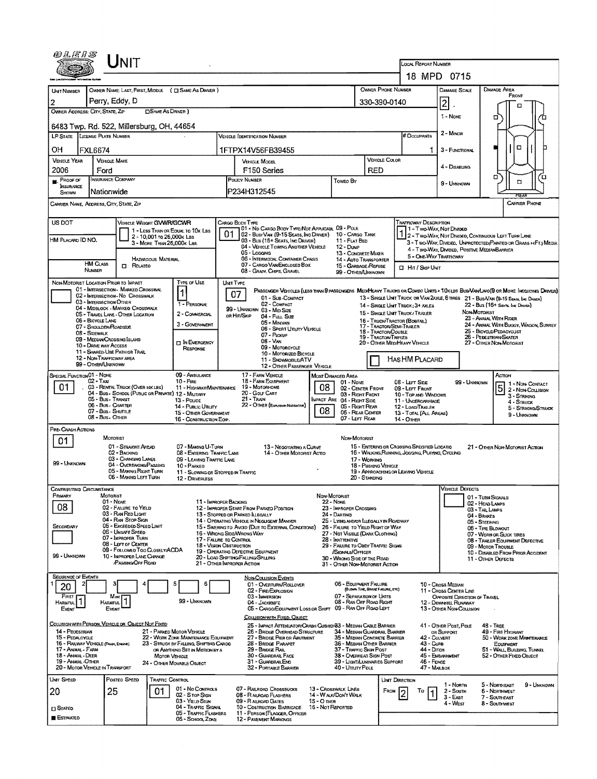| OLEIS                                                       |                                                 | Jnit                                                                  |                            |                                                                          |  |                                                                                                  |                   |                                                                            |               |                                                    |                                                                                                 |                                                      |                                      |                                                                                                                              |  |
|-------------------------------------------------------------|-------------------------------------------------|-----------------------------------------------------------------------|----------------------------|--------------------------------------------------------------------------|--|--------------------------------------------------------------------------------------------------|-------------------|----------------------------------------------------------------------------|---------------|----------------------------------------------------|-------------------------------------------------------------------------------------------------|------------------------------------------------------|--------------------------------------|------------------------------------------------------------------------------------------------------------------------------|--|
|                                                             |                                                 |                                                                       |                            |                                                                          |  |                                                                                                  |                   |                                                                            |               |                                                    | LOCAL REPORT NUMBER                                                                             | 18 MPD 0715                                          |                                      |                                                                                                                              |  |
| UNT NUMBER                                                  |                                                 |                                                                       |                            | OWNER NAME: LAST, FIRST, MIDDLE ( C SAME AS DRIVER )                     |  |                                                                                                  |                   |                                                                            |               | OWNER PHONE NUMBER                                 |                                                                                                 | DAMAGE SCALE                                         |                                      | DAMAGE AREA                                                                                                                  |  |
| 2                                                           | Perry, Eddy, D                                  |                                                                       |                            |                                                                          |  |                                                                                                  |                   |                                                                            |               | 330-390-0140                                       |                                                                                                 | 2                                                    |                                      | FRONT<br>□                                                                                                                   |  |
| OWNER ADDRESS: CITY, STATE, ZIP<br><b>DSAME AS DRIVER</b> ) |                                                 |                                                                       |                            |                                                                          |  |                                                                                                  |                   |                                                                            |               |                                                    |                                                                                                 |                                                      |                                      |                                                                                                                              |  |
| 6483 Twp. Rd. 522, Millersburg, OH, 44654                   |                                                 |                                                                       |                            |                                                                          |  |                                                                                                  |                   |                                                                            |               |                                                    | 1 - None<br>2 - MINOR                                                                           |                                                      | σ                                    |                                                                                                                              |  |
| LP STATE LICENSE PLATE NUMBER                               |                                                 |                                                                       |                            |                                                                          |  | <b>VERICLE IDENTIFICATION NUMBER</b>                                                             |                   |                                                                            |               |                                                    | <b># Occupants</b>                                                                              |                                                      |                                      |                                                                                                                              |  |
| OН                                                          | <b>FXL6674</b>                                  |                                                                       |                            |                                                                          |  | 1FTPX14V56FB39455                                                                                |                   |                                                                            |               |                                                    | 1.                                                                                              | 3 - FUNCTIONAL                                       |                                      | о                                                                                                                            |  |
| <b>VEHICLE YEAR</b><br>2006                                 | <b>VEHICLE MAKE</b>                             |                                                                       |                            |                                                                          |  | <b>VEHICLE MODEL</b>                                                                             |                   |                                                                            |               | <b>VEHICLE COLOR</b>                               |                                                                                                 | 4 - DISABUNG                                         |                                      |                                                                                                                              |  |
| PROOF OF                                                    | Ford<br>INSURANCE COMPANY                       |                                                                       |                            |                                                                          |  | F <sub>150</sub> Series<br>POLICY NUMBER                                                         |                   | Toweo By                                                                   | <b>RED</b>    |                                                    |                                                                                                 |                                                      |                                      | o<br>้อ<br>$\Box$                                                                                                            |  |
| <b>INSURANCE</b><br>SHOWN                                   | Nationwide                                      |                                                                       |                            |                                                                          |  | P234H312545                                                                                      |                   |                                                                            |               |                                                    |                                                                                                 | 9 - UNKNOWN                                          |                                      | ਲਵਸ਼                                                                                                                         |  |
| CARRIER NAME, ACORESS, CITY, STATE, ZIP                     |                                                 |                                                                       |                            |                                                                          |  |                                                                                                  |                   |                                                                            |               |                                                    |                                                                                                 |                                                      |                                      | <b>CARRIER PHONE</b>                                                                                                         |  |
| US DOT                                                      |                                                 | VEHICLE WEIGHT GVWR/GCWR                                              |                            |                                                                          |  | CARGO BODY TYPE<br>01 - No CARGO BODY TYPE/NOT APPUCABL 09 - POLE                                |                   |                                                                            |               |                                                    | Trafficway Description                                                                          | 1 - Two-Way, Not Divided                             |                                      |                                                                                                                              |  |
| HM PLACARD ID NO.                                           |                                                 |                                                                       | 2 - 10,001 To 26,000x Las  | 1 - LESS THAN OR EQUAL TO TOX LBS                                        |  | 02 - Busi VAN (9-15 SEATS, INC DRIVER) 10 - CARGO TANK<br>03 - Bus (16+ Seats, Inc Driver)       |                   | 11 - FLAT BED                                                              |               |                                                    |                                                                                                 |                                                      |                                      | 1 2 - Two-Way, Not Divided, Continuous Left Turn Lane                                                                        |  |
|                                                             |                                                 |                                                                       | 3 - MORE THAN 26,000K LBS. |                                                                          |  | 04 - VEHICLE TOWNG ANOTHER VEHICLE<br>05 - Locano                                                |                   | 12 - Dukp                                                                  |               |                                                    |                                                                                                 | 4 - Two-Way, DWDED, POSITIVE MEDIANBARRIER           |                                      | 3 - Two-Way, Divideo, Unprotected (Painted or Grass > 4Ft.) Media                                                            |  |
|                                                             | <b>HM Cuss</b>                                  | <b>CI RELATED</b>                                                     | HAZARDOUS MATERIAL         |                                                                          |  | 06 - INTERMODAL CONTAINER CHASIS<br>07 - CARGO VAN ENGLOSED BOX                                  |                   | 13 - CONCRETE MIXER<br>14 - AUTO TRANSPORTER                               |               |                                                    | 5 - ONE-WAY TRAFFICWAY                                                                          |                                                      |                                      |                                                                                                                              |  |
|                                                             | NUMBER                                          |                                                                       |                            |                                                                          |  | 08 - GRAIN, CHIPS, GRAVEL                                                                        |                   | 15 - GARBAGE /REFUSE<br>99 - OTHER/UNKNOWN                                 |               |                                                    | <b>D</b> Hit / Skip Unit                                                                        |                                                      |                                      |                                                                                                                              |  |
| NON-MOTORIST LOCATION PRIOR TO IMPACT                       |                                                 | 01 - INTERSECTION - MARKED CROSSWAL                                   |                            | TYPE OF USE                                                              |  | UNIT TYPE                                                                                        |                   |                                                                            |               |                                                    |                                                                                                 |                                                      |                                      | PASSENGER VEHICLES (LESS THAN 9 PASSENGERS MEDIMEAVY TRUCKS OR COMBO UNITS > 10K LBS BUS/VAN/LMO(9 OR MORE INCLUDING DRIVER) |  |
|                                                             | 03 - INTERSECTION OTHER                         | 02 - INTERSECTION - NO CROSSWALK                                      |                            | 1                                                                        |  | 07<br>01 - Sub-Compact<br>02 - COMPACT                                                           |                   |                                                                            |               |                                                    |                                                                                                 |                                                      |                                      | 13 - SINGLE UNIT TRUCK OR VAN 2AXLE, 6 TIRES 21 - BUS/VAN (9-15 SEATS, INC DRAWN)                                            |  |
|                                                             |                                                 | 04 - MIDBLOCK - MARKED CROSSWALK<br>05 - TRAVEL LANE - OTHER LOCATION |                            | 1 - PERSONAL<br>2 - COMMERCIAL                                           |  | 99 - UNIGNOWN 03 - MID SIZE<br>OR HIT/SKIP                                                       |                   |                                                                            |               |                                                    | 14 - SINGLE UNIT TRUCK; 3+ AXLES<br>15 - SINGLE UNT TRUCK / TRAILER                             |                                                      | NON MOTORIST                         | 22 - Bus (16+ Seats, Inc Draver)                                                                                             |  |
|                                                             | 06 - BICYCLE LANE<br>07 - Shoulder/Roadside     |                                                                       |                            | 3 - GOVERNMENT                                                           |  | 04 - Fut, Size<br>05 - Monvan                                                                    |                   |                                                                            |               | 17 - TRACTOR/SEMI-TRAILER                          | 16 - TRUCK/TRACTOR (BOBTAIL)                                                                    |                                                      |                                      | 23 - ANIMAL WITH RIDER<br>24 - ANIMAL WITH BUGGY, WAGON, SURREY                                                              |  |
| 08 - Sidewalk                                               | 09 - MEDIAN CROSSING ISLAND                     |                                                                       |                            |                                                                          |  | 06 - SPORT UTIUTY VEHICLE<br>07 - Pickup                                                         |                   |                                                                            |               | 18 - TRACTOR/DOUBLE<br><b>19 - TRACTOR/TRIPLES</b> |                                                                                                 |                                                      |                                      | 25 - BICYCLE/PEDACYCUST<br>26 - PEDESTRIAN/SKATER                                                                            |  |
|                                                             | 10 - DRIVE WAY ACCESS                           | 11 - SHARED-USE PATH OR TRAIL                                         |                            | <b>D IN EMERGENCY</b><br>RESPONSE                                        |  | 08 - VAN<br>09 - Motoncycle                                                                      |                   |                                                                            |               |                                                    | 20 - OTHER MEDIHEAVY VEHICLE                                                                    |                                                      |                                      | 27 - OTHER NON-MOTORIST                                                                                                      |  |
|                                                             | 12 - NON-TRAFFICWAY AREA<br>99 - OTHER/LINKNOWN |                                                                       |                            |                                                                          |  | 10 - Motorizeo Bicycle<br>11 - SNOWMOBILE/ATV                                                    |                   |                                                                            |               |                                                    | HASHM PLACARD                                                                                   |                                                      |                                      |                                                                                                                              |  |
| SPECIAL FUNCTION 01 - NONE                                  |                                                 |                                                                       |                            | 09 - AMBULANCE                                                           |  | 12 - OTHER PASSENGER VEHICLE<br>17 - FARM VEHICLE                                                |                   | MOST DAMAGED AREA                                                          |               |                                                    |                                                                                                 |                                                      |                                      | ACTION                                                                                                                       |  |
| 01                                                          | $02 - TAXI$                                     | 03 - RENTAL TRUCK (OVER 10KLBS)                                       |                            | $10 -$ Fire<br>11 - Highway/Maintenance                                  |  | 18 - FARM EQUIPMENT<br>19 - Мотокноме                                                            | 08.               | 01 - Nove<br>02 - CENTER FRONT                                             |               |                                                    | 08 - LEFT SIDE<br>09 - LEFT FRONT                                                               | 99 - Unxnown                                         |                                      | 1 1 - Non-Contact<br>$\overline{5}$<br>2 - Non-Counsion                                                                      |  |
|                                                             | 05 - Bus - Transit                              |                                                                       |                            | 04 - Bus - School (Public or Private) 12 - MillTARY<br>13 - Pouce        |  | 20 - Golf Cart<br>21 - TRAIN                                                                     |                   | 03 - Right Front<br><b>IMPACT ARE 04 - RIGHT SIDE</b>                      |               |                                                    | 10 - TOP AND WINDOWS<br>11 - UNDERGARRIAGE                                                      |                                                      |                                      | 3 - STRIKING<br>4 - Struck                                                                                                   |  |
|                                                             | 06 - Bus - Charter<br>07 - Bus - SHUTTLE        |                                                                       |                            | 14 - Pueuc Unury<br>15 - OTHER GOVERNMENT                                |  | 22 - OTHER (EXPLANATIONE)                                                                        | 80                | 05 - Right REAR<br>06 - REAR CENTER                                        |               |                                                    | 12 - LOAD/TRAILER<br>13 - TOTAL (ALL AREAS)                                                     |                                                      |                                      | 5 - STRIKING/STRUCK                                                                                                          |  |
|                                                             | 08 - Bus - OTHER                                |                                                                       |                            | 16 - CONSTRUCTION EOIP.                                                  |  |                                                                                                  |                   | 07 - LEFT REAR                                                             |               |                                                    | <b>14 - OTHER</b>                                                                               |                                                      |                                      | 9 - Unknown                                                                                                                  |  |
| PRE- CRASH ACTIONS<br>01                                    | MOTORIST                                        |                                                                       |                            |                                                                          |  |                                                                                                  |                   | Non-Motorust                                                               |               |                                                    |                                                                                                 |                                                      |                                      |                                                                                                                              |  |
|                                                             |                                                 | 01 - STRAIGHT AHEAD<br>02 - BACKING                                   |                            | 07 - MAKING U-TURN<br>08 - ENTERING TRAFFIC LANE                         |  | 13 - NEGOTIATING A CURVE<br>14 - OTHER MOTORIST ACTIO                                            |                   |                                                                            |               |                                                    | 15 - ENTERING OR CROSSING SPECIFIED LOCATIO<br>16 - WALKING, RUNNING, JOGGING, PLAYING, CYCLING |                                                      |                                      | 21 - Other Non-Motorist Action                                                                                               |  |
| 99 - Unknown                                                |                                                 | 03 - CHANGING LANES<br>04 - OVERTAKING/PASSING                        |                            | 09 - LEAVING TRAFFIC LANE                                                |  |                                                                                                  |                   |                                                                            | 17 - WORKING  | 18 - Pus-ang VEHICLE                               |                                                                                                 |                                                      |                                      |                                                                                                                              |  |
|                                                             |                                                 | 05 - MAKING RIGHT TURN<br>06 - MAKING LEFT TURN                       |                            | 10 - PARKED<br>11 - SLOWING OR STOPPED IN TRAFFIC<br>12 - DRIVERLESS     |  |                                                                                                  |                   |                                                                            | 20 - STANDING |                                                    | 19 - APPROACHING OR LEAVING VEHICLE                                                             |                                                      |                                      |                                                                                                                              |  |
| CONTRIBUTING CIRCUMSTANCE                                   |                                                 |                                                                       |                            |                                                                          |  |                                                                                                  |                   |                                                                            |               |                                                    |                                                                                                 | <b>VEHICLE DEFECTS</b>                               |                                      |                                                                                                                              |  |
| Primary                                                     | MOTORIST<br>$01 - None$                         |                                                                       |                            | 11 - IMPROPER BACKING                                                    |  |                                                                                                  |                   | Non-Motorist<br><b>22 - NONE</b>                                           |               |                                                    |                                                                                                 |                                                      | 01 - TURN SIGNALS<br>02 - HEAD LAMPS |                                                                                                                              |  |
| 08                                                          |                                                 | 02 - FNLURE TO YIELD<br>03 - RAN RED LIGHT                            |                            |                                                                          |  | 12 - IMPROPER START FROM PARKED POSITION<br>13 - STOPPED OR PARKED ILLEGALLY                     |                   | 23 - IMPROPER CROSSING<br>24 - DARTING                                     |               |                                                    |                                                                                                 |                                                      | 03-TAILLAMPS<br>04 - BRAKES          |                                                                                                                              |  |
| SECONDARY                                                   |                                                 | 04 - RAN STOP SIGN<br>05 - Exceeded Speed Limit                       |                            |                                                                          |  | 14 - Operating Vehicle in Negligent Manner<br>15 - Swering to Avoid (Due to External Conditions) |                   | 25 - LYING ANDIOR LLEGALLY IN ROADWAY<br>26 - FALURE TO YIELD RIGHT OF WAY |               |                                                    |                                                                                                 |                                                      | 05 - Steening                        | 06 - TIRE BLOWOUT                                                                                                            |  |
|                                                             |                                                 | 06 - UNSAFE SPEED<br>07 - IMPROPER TURN                               |                            | 17 - FALURE TO CONTROL                                                   |  | 16 - WRONG SIDE/WRONG WAY                                                                        |                   | 27 - NOT VISIBLE (DARK CLOTHING)<br>28 - INATTENTIVE                       |               |                                                    |                                                                                                 |                                                      |                                      | 07 - WORN OR SLICK TIRES                                                                                                     |  |
|                                                             |                                                 | 08 - LEFT OF CENTER<br>09 - Followed Too Closely/ACDA                 |                            | <b>18 - VISION OBSTRUCTION</b>                                           |  | 19 - OPERATING DEFECTIVE EQUIPMENT                                                               |                   | 29 - FALURE TO OBEY TRAFFIC SIGNS<br>/SIGNALS/OFFICER                      |               |                                                    |                                                                                                 |                                                      |                                      | 08 - TRAILER EQUIPMENT DEFECTIVE<br>09 - MOTOR TROUBLE                                                                       |  |
| 99 - UNKNOWN                                                |                                                 | 10 - IMPROPER LANE CHANGE<br><b>/PASSING/OFF ROAD</b>                 |                            |                                                                          |  | 20 - LOAD SHIFTING/FALLING/SPILLING<br>21 - OTHER IMPROPER ACTION                                |                   | 30 - WRONG SIDE OF THE ROAD<br>31 - OTHER NON-MOTORIST ACTION              |               |                                                    |                                                                                                 |                                                      |                                      | 10 - DISABLED FROM PRIOR ACCIDENT<br>11 - OTHER DEFECTS                                                                      |  |
| <b>SEQUENCE OF EVENTS</b>                                   |                                                 |                                                                       |                            |                                                                          |  | <b>NON-COLUSION EVENTS</b>                                                                       |                   |                                                                            |               |                                                    |                                                                                                 |                                                      |                                      |                                                                                                                              |  |
| 20                                                          |                                                 |                                                                       |                            | 6                                                                        |  | 01 - OVERTURN/ROLLOVER<br>02 - FIRE/EXPLOSION                                                    |                   | 06 - EQUIPMENT FAILURE                                                     |               | (BLOWN TIRE, BRAKE FAILURE, ETC)                   |                                                                                                 | 10 - Cross Median<br>11 - Cross Center Line          |                                      |                                                                                                                              |  |
| FIRST<br>HARMFUL                                            | Most<br><b>HARMFUL</b>                          |                                                                       |                            | 99 - Unknown                                                             |  | 03 - IMMERSION<br>04 - JACKKNIFE                                                                 |                   | 07 - SEPARATION OF UNITS<br>08 - RAN OFF ROAD RIGHT                        |               |                                                    |                                                                                                 | OPPOSITE DIRECTION OF TRAVEL<br>12 - DOWNHIL RUNAWAY |                                      |                                                                                                                              |  |
| Event                                                       | Event                                           |                                                                       |                            |                                                                          |  | 05 - CARGO/EQUIPMENT LOSS OR SHIFT 09 - RAN OFF ROAD LEFT                                        |                   |                                                                            |               |                                                    |                                                                                                 | 13 - OTHER NON-COLLISION                             |                                      |                                                                                                                              |  |
| COLUSION WITH PERSON, VEHICLE OR OBJECT NOT FIXED           |                                                 |                                                                       |                            |                                                                          |  | COLLISION WITH FIXED, OBJECT<br>25 - IMPACT ATTENUATOR/CRASH CUSHION 83 - MEDIAN CASLE BARRIER   |                   |                                                                            |               |                                                    |                                                                                                 | 41 - OTHER POST, POLE                                |                                      | $48 -$ TREE                                                                                                                  |  |
| 14 - PEOESTRIAN<br>15 - PEDALCYCLE                          |                                                 |                                                                       |                            | 21 - PARKED MOTOR VEHICLE<br>22 - WORK ZONE MAINTENANCE EQUIPMENT        |  | 26 - BRIDGE OVERHEAD STRUCTURE<br>27 - Bridge Pier or Abutment                                   |                   | 34 - Median Guardral Barrier<br>35 - Median Concrete Barrier               |               |                                                    | 42 - CULVERT                                                                                    | OR SUPPORT                                           |                                      | 49 - FIRE HYDRANT<br>50 - WORK ZONE MAINTENANCE                                                                              |  |
| 16 - RAILWAY VEHICLE (TRAH, ENGINE)<br>17 - Anamal - Farm   |                                                 |                                                                       |                            | 23 - STRUCK BY FALLING, SHIFTING CARGO<br>OR ANYTHING SET IN MOTION BY A |  | 28 - Bridge Parapet<br>29 - BRIDGE RAIL                                                          |                   | 36 - Median Other Barrier<br>37 - TRAFFIC SIGN POST                        |               |                                                    | 43 - Cune<br>44 - Олон                                                                          |                                                      |                                      | EQUIPMENT<br>51 - WALL BUILDING, TUNNEL                                                                                      |  |
| 18 - ANMAL - DEER<br>19 - ANIMAL-OTHER                      |                                                 |                                                                       | MOTOR VEHICLE              | 24 - OTHER MOVABLE OBJECT                                                |  | <b>30 - GUARDRAIL FACE</b><br>31 - GUARDRAILEND                                                  |                   | 38 - OverHeAD SIGN Post<br>39 - Light/Luntharies Support                   |               |                                                    | 46 - FENCE                                                                                      | 45 - EMBANKWENT                                      |                                      | 52 - Other Fixed Object                                                                                                      |  |
| 20 - MOTOR VEHICLE IN TRANSPORT<br>UNIT SPEED               |                                                 | Posted Speed                                                          | TRAFFIC CONTROL            |                                                                          |  | 32 - PORTABLE BARRIER                                                                            |                   | 40 - Umury Pole                                                            |               | UNIT DIRECTION                                     | 47 - MAILBOX                                                                                    |                                                      |                                      |                                                                                                                              |  |
| 20                                                          | 25                                              |                                                                       | 01                         | 01 - No Controls                                                         |  | 07 - RAILROAD CROSSBUCKS                                                                         |                   | 13 - Crosswalk Lines                                                       |               | FROM                                               | Τo<br>っ                                                                                         | 1 - North<br>2 - South                               |                                      | 5 - NORTHEAST<br>9 - UNKNOWN<br><b>6 - NORTHWEST</b>                                                                         |  |
|                                                             |                                                 |                                                                       |                            | 02 - Stor Slav<br>03 - YIELD Stan                                        |  | 08 - RAILROAD FLASHERS<br>09 - RALROAD GATES                                                     | $15 - O$ mea      | 14 - W ALK/DON'T WALK                                                      |               |                                                    |                                                                                                 | $3 - East$<br>4 - West                               |                                      | 7 - SOUTHEAST<br>8 - Southwest                                                                                               |  |
| $\square$ Stated                                            |                                                 |                                                                       |                            | 04 - TRAFFIC SIGNAL<br>05 - TRAFFIC FLASHERS                             |  | <b>10 - COSTRUCTION BARRICADE</b><br>11 - PERSON (FLAGGER, OFFICER                               | 16 - Not Reported |                                                                            |               |                                                    |                                                                                                 |                                                      |                                      |                                                                                                                              |  |
| <b>ESTIMATED</b>                                            |                                                 |                                                                       |                            | 06 - SCHOOL ZONE                                                         |  | 12 - PAVEMENT MARKINGS                                                                           |                   |                                                                            |               |                                                    |                                                                                                 |                                                      |                                      |                                                                                                                              |  |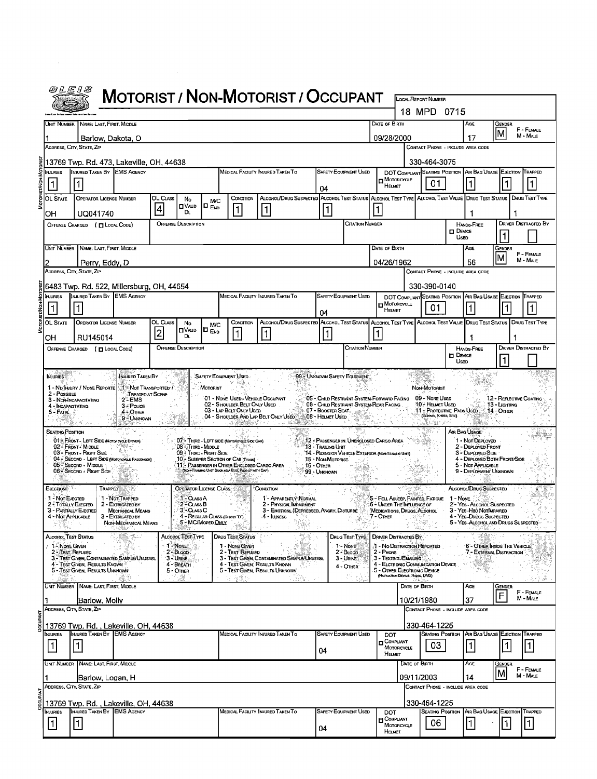|                                                                                                             | <i>@LE1S</i>                                                                                                                                                                                                                                                                                                                                                                                                                                                                                                                                                                                                                                                                                                                                                                                                                                                                                                                                                                                                                                                                                                                                                                                                                                                                                                                                                                                                                                                                                                                                                                                                                                                                                                                                                                                                                                                                                                                                                                                                                                                                                                                                                                                                                                                                                                                                                                                                                                                                                                                                                                                                                                                                                                                                                                                                                                                                                                                                                                                                                                                                                                                                                                                                                                                                                                                                                                                                                                                                                                                                                                                                                                                                                                                                                                                                                                                                                                                                                                                                                                                                                                                                                                                                                                                                                                                                                                                                                                                                                                                                                                                                                                                                                                                                                                                                                                                                                                                                                                                                                                                                                                                                                                                                                                                                                                                                                                                                                                                                                                                                                                                                                                                                                                                                                                                                                                                                                                                                                                                                                                         |                   |          |    |  |          | <b>MOTORIST / NON-MOTORIST / OCCUPANT</b> |  |  |    |                     |   |  |   |
|-------------------------------------------------------------------------------------------------------------|------------------------------------------------------------------------------------------------------------------------------------------------------------------------------------------------------------------------------------------------------------------------------------------------------------------------------------------------------------------------------------------------------------------------------------------------------------------------------------------------------------------------------------------------------------------------------------------------------------------------------------------------------------------------------------------------------------------------------------------------------------------------------------------------------------------------------------------------------------------------------------------------------------------------------------------------------------------------------------------------------------------------------------------------------------------------------------------------------------------------------------------------------------------------------------------------------------------------------------------------------------------------------------------------------------------------------------------------------------------------------------------------------------------------------------------------------------------------------------------------------------------------------------------------------------------------------------------------------------------------------------------------------------------------------------------------------------------------------------------------------------------------------------------------------------------------------------------------------------------------------------------------------------------------------------------------------------------------------------------------------------------------------------------------------------------------------------------------------------------------------------------------------------------------------------------------------------------------------------------------------------------------------------------------------------------------------------------------------------------------------------------------------------------------------------------------------------------------------------------------------------------------------------------------------------------------------------------------------------------------------------------------------------------------------------------------------------------------------------------------------------------------------------------------------------------------------------------------------------------------------------------------------------------------------------------------------------------------------------------------------------------------------------------------------------------------------------------------------------------------------------------------------------------------------------------------------------------------------------------------------------------------------------------------------------------------------------------------------------------------------------------------------------------------------------------------------------------------------------------------------------------------------------------------------------------------------------------------------------------------------------------------------------------------------------------------------------------------------------------------------------------------------------------------------------------------------------------------------------------------------------------------------------------------------------------------------------------------------------------------------------------------------------------------------------------------------------------------------------------------------------------------------------------------------------------------------------------------------------------------------------------------------------------------------------------------------------------------------------------------------------------------------------------------------------------------------------------------------------------------------------------------------------------------------------------------------------------------------------------------------------------------------------------------------------------------------------------------------------------------------------------------------------------------------------------------------------------------------------------------------------------------------------------------------------------------------------------------------------------------------------------------------------------------------------------------------------------------------------------------------------------------------------------------------------------------------------------------------------------------------------------------------------------------------------------------------------------------------------------------------------------------------------------------------------------------------------------------------------------------------------------------------------------------------------------------------------------------------------------------------------------------------------------------------------------------------------------------------------------------------------------------------------------------------------------------------------------------------------------------------------------------------------------------------------------------------------------------------------------------------------------------------------------------------|-------------------|----------|----|--|----------|-------------------------------------------|--|--|----|---------------------|---|--|---|
|                                                                                                             |                                                                                                                                                                                                                                                                                                                                                                                                                                                                                                                                                                                                                                                                                                                                                                                                                                                                                                                                                                                                                                                                                                                                                                                                                                                                                                                                                                                                                                                                                                                                                                                                                                                                                                                                                                                                                                                                                                                                                                                                                                                                                                                                                                                                                                                                                                                                                                                                                                                                                                                                                                                                                                                                                                                                                                                                                                                                                                                                                                                                                                                                                                                                                                                                                                                                                                                                                                                                                                                                                                                                                                                                                                                                                                                                                                                                                                                                                                                                                                                                                                                                                                                                                                                                                                                                                                                                                                                                                                                                                                                                                                                                                                                                                                                                                                                                                                                                                                                                                                                                                                                                                                                                                                                                                                                                                                                                                                                                                                                                                                                                                                                                                                                                                                                                                                                                                                                                                                                                                                                                                                                      |                   |          |    |  |          |                                           |  |  |    | LOCAL REPORT NUMBER |   |  |   |
|                                                                                                             |                                                                                                                                                                                                                                                                                                                                                                                                                                                                                                                                                                                                                                                                                                                                                                                                                                                                                                                                                                                                                                                                                                                                                                                                                                                                                                                                                                                                                                                                                                                                                                                                                                                                                                                                                                                                                                                                                                                                                                                                                                                                                                                                                                                                                                                                                                                                                                                                                                                                                                                                                                                                                                                                                                                                                                                                                                                                                                                                                                                                                                                                                                                                                                                                                                                                                                                                                                                                                                                                                                                                                                                                                                                                                                                                                                                                                                                                                                                                                                                                                                                                                                                                                                                                                                                                                                                                                                                                                                                                                                                                                                                                                                                                                                                                                                                                                                                                                                                                                                                                                                                                                                                                                                                                                                                                                                                                                                                                                                                                                                                                                                                                                                                                                                                                                                                                                                                                                                                                                                                                                                                      |                   |          |    |  |          |                                           |  |  |    |                     |   |  |   |
|                                                                                                             |                                                                                                                                                                                                                                                                                                                                                                                                                                                                                                                                                                                                                                                                                                                                                                                                                                                                                                                                                                                                                                                                                                                                                                                                                                                                                                                                                                                                                                                                                                                                                                                                                                                                                                                                                                                                                                                                                                                                                                                                                                                                                                                                                                                                                                                                                                                                                                                                                                                                                                                                                                                                                                                                                                                                                                                                                                                                                                                                                                                                                                                                                                                                                                                                                                                                                                                                                                                                                                                                                                                                                                                                                                                                                                                                                                                                                                                                                                                                                                                                                                                                                                                                                                                                                                                                                                                                                                                                                                                                                                                                                                                                                                                                                                                                                                                                                                                                                                                                                                                                                                                                                                                                                                                                                                                                                                                                                                                                                                                                                                                                                                                                                                                                                                                                                                                                                                                                                                                                                                                                                                                      |                   |          |    |  |          |                                           |  |  |    |                     |   |  |   |
|                                                                                                             |                                                                                                                                                                                                                                                                                                                                                                                                                                                                                                                                                                                                                                                                                                                                                                                                                                                                                                                                                                                                                                                                                                                                                                                                                                                                                                                                                                                                                                                                                                                                                                                                                                                                                                                                                                                                                                                                                                                                                                                                                                                                                                                                                                                                                                                                                                                                                                                                                                                                                                                                                                                                                                                                                                                                                                                                                                                                                                                                                                                                                                                                                                                                                                                                                                                                                                                                                                                                                                                                                                                                                                                                                                                                                                                                                                                                                                                                                                                                                                                                                                                                                                                                                                                                                                                                                                                                                                                                                                                                                                                                                                                                                                                                                                                                                                                                                                                                                                                                                                                                                                                                                                                                                                                                                                                                                                                                                                                                                                                                                                                                                                                                                                                                                                                                                                                                                                                                                                                                                                                                                                                      |                   |          |    |  |          |                                           |  |  |    |                     |   |  |   |
| <b>INJURIES</b>                                                                                             |                                                                                                                                                                                                                                                                                                                                                                                                                                                                                                                                                                                                                                                                                                                                                                                                                                                                                                                                                                                                                                                                                                                                                                                                                                                                                                                                                                                                                                                                                                                                                                                                                                                                                                                                                                                                                                                                                                                                                                                                                                                                                                                                                                                                                                                                                                                                                                                                                                                                                                                                                                                                                                                                                                                                                                                                                                                                                                                                                                                                                                                                                                                                                                                                                                                                                                                                                                                                                                                                                                                                                                                                                                                                                                                                                                                                                                                                                                                                                                                                                                                                                                                                                                                                                                                                                                                                                                                                                                                                                                                                                                                                                                                                                                                                                                                                                                                                                                                                                                                                                                                                                                                                                                                                                                                                                                                                                                                                                                                                                                                                                                                                                                                                                                                                                                                                                                                                                                                                                                                                                                                      |                   |          |    |  |          |                                           |  |  |    |                     |   |  |   |
| $\vert$ 1                                                                                                   |                                                                                                                                                                                                                                                                                                                                                                                                                                                                                                                                                                                                                                                                                                                                                                                                                                                                                                                                                                                                                                                                                                                                                                                                                                                                                                                                                                                                                                                                                                                                                                                                                                                                                                                                                                                                                                                                                                                                                                                                                                                                                                                                                                                                                                                                                                                                                                                                                                                                                                                                                                                                                                                                                                                                                                                                                                                                                                                                                                                                                                                                                                                                                                                                                                                                                                                                                                                                                                                                                                                                                                                                                                                                                                                                                                                                                                                                                                                                                                                                                                                                                                                                                                                                                                                                                                                                                                                                                                                                                                                                                                                                                                                                                                                                                                                                                                                                                                                                                                                                                                                                                                                                                                                                                                                                                                                                                                                                                                                                                                                                                                                                                                                                                                                                                                                                                                                                                                                                                                                                                                                      |                   |          |    |  |          |                                           |  |  |    | 01                  |   |  | 1 |
| MOTORIST/NON<br>OL CLASS<br>OL STATE<br><b>OPERATOR LICENSE NUMBER</b><br>CONDITION  <br>No<br>M/C<br>OVAJD |                                                                                                                                                                                                                                                                                                                                                                                                                                                                                                                                                                                                                                                                                                                                                                                                                                                                                                                                                                                                                                                                                                                                                                                                                                                                                                                                                                                                                                                                                                                                                                                                                                                                                                                                                                                                                                                                                                                                                                                                                                                                                                                                                                                                                                                                                                                                                                                                                                                                                                                                                                                                                                                                                                                                                                                                                                                                                                                                                                                                                                                                                                                                                                                                                                                                                                                                                                                                                                                                                                                                                                                                                                                                                                                                                                                                                                                                                                                                                                                                                                                                                                                                                                                                                                                                                                                                                                                                                                                                                                                                                                                                                                                                                                                                                                                                                                                                                                                                                                                                                                                                                                                                                                                                                                                                                                                                                                                                                                                                                                                                                                                                                                                                                                                                                                                                                                                                                                                                                                                                                                                      |                   |          |    |  |          |                                           |  |  |    |                     |   |  |   |
| OН                                                                                                          | UQ041740                                                                                                                                                                                                                                                                                                                                                                                                                                                                                                                                                                                                                                                                                                                                                                                                                                                                                                                                                                                                                                                                                                                                                                                                                                                                                                                                                                                                                                                                                                                                                                                                                                                                                                                                                                                                                                                                                                                                                                                                                                                                                                                                                                                                                                                                                                                                                                                                                                                                                                                                                                                                                                                                                                                                                                                                                                                                                                                                                                                                                                                                                                                                                                                                                                                                                                                                                                                                                                                                                                                                                                                                                                                                                                                                                                                                                                                                                                                                                                                                                                                                                                                                                                                                                                                                                                                                                                                                                                                                                                                                                                                                                                                                                                                                                                                                                                                                                                                                                                                                                                                                                                                                                                                                                                                                                                                                                                                                                                                                                                                                                                                                                                                                                                                                                                                                                                                                                                                                                                                                                                             |                   |          | D. |  |          |                                           |  |  | 1. |                     | 1 |  |   |
|                                                                                                             |                                                                                                                                                                                                                                                                                                                                                                                                                                                                                                                                                                                                                                                                                                                                                                                                                                                                                                                                                                                                                                                                                                                                                                                                                                                                                                                                                                                                                                                                                                                                                                                                                                                                                                                                                                                                                                                                                                                                                                                                                                                                                                                                                                                                                                                                                                                                                                                                                                                                                                                                                                                                                                                                                                                                                                                                                                                                                                                                                                                                                                                                                                                                                                                                                                                                                                                                                                                                                                                                                                                                                                                                                                                                                                                                                                                                                                                                                                                                                                                                                                                                                                                                                                                                                                                                                                                                                                                                                                                                                                                                                                                                                                                                                                                                                                                                                                                                                                                                                                                                                                                                                                                                                                                                                                                                                                                                                                                                                                                                                                                                                                                                                                                                                                                                                                                                                                                                                                                                                                                                                                                      |                   |          |    |  |          |                                           |  |  |    |                     |   |  |   |
|                                                                                                             |                                                                                                                                                                                                                                                                                                                                                                                                                                                                                                                                                                                                                                                                                                                                                                                                                                                                                                                                                                                                                                                                                                                                                                                                                                                                                                                                                                                                                                                                                                                                                                                                                                                                                                                                                                                                                                                                                                                                                                                                                                                                                                                                                                                                                                                                                                                                                                                                                                                                                                                                                                                                                                                                                                                                                                                                                                                                                                                                                                                                                                                                                                                                                                                                                                                                                                                                                                                                                                                                                                                                                                                                                                                                                                                                                                                                                                                                                                                                                                                                                                                                                                                                                                                                                                                                                                                                                                                                                                                                                                                                                                                                                                                                                                                                                                                                                                                                                                                                                                                                                                                                                                                                                                                                                                                                                                                                                                                                                                                                                                                                                                                                                                                                                                                                                                                                                                                                                                                                                                                                                                                      |                   |          |    |  |          |                                           |  |  |    |                     |   |  |   |
|                                                                                                             |                                                                                                                                                                                                                                                                                                                                                                                                                                                                                                                                                                                                                                                                                                                                                                                                                                                                                                                                                                                                                                                                                                                                                                                                                                                                                                                                                                                                                                                                                                                                                                                                                                                                                                                                                                                                                                                                                                                                                                                                                                                                                                                                                                                                                                                                                                                                                                                                                                                                                                                                                                                                                                                                                                                                                                                                                                                                                                                                                                                                                                                                                                                                                                                                                                                                                                                                                                                                                                                                                                                                                                                                                                                                                                                                                                                                                                                                                                                                                                                                                                                                                                                                                                                                                                                                                                                                                                                                                                                                                                                                                                                                                                                                                                                                                                                                                                                                                                                                                                                                                                                                                                                                                                                                                                                                                                                                                                                                                                                                                                                                                                                                                                                                                                                                                                                                                                                                                                                                                                                                                                                      |                   |          |    |  |          |                                           |  |  |    |                     |   |  |   |
|                                                                                                             |                                                                                                                                                                                                                                                                                                                                                                                                                                                                                                                                                                                                                                                                                                                                                                                                                                                                                                                                                                                                                                                                                                                                                                                                                                                                                                                                                                                                                                                                                                                                                                                                                                                                                                                                                                                                                                                                                                                                                                                                                                                                                                                                                                                                                                                                                                                                                                                                                                                                                                                                                                                                                                                                                                                                                                                                                                                                                                                                                                                                                                                                                                                                                                                                                                                                                                                                                                                                                                                                                                                                                                                                                                                                                                                                                                                                                                                                                                                                                                                                                                                                                                                                                                                                                                                                                                                                                                                                                                                                                                                                                                                                                                                                                                                                                                                                                                                                                                                                                                                                                                                                                                                                                                                                                                                                                                                                                                                                                                                                                                                                                                                                                                                                                                                                                                                                                                                                                                                                                                                                                                                      |                   |          |    |  |          |                                           |  |  |    |                     |   |  |   |
| Injuries                                                                                                    |                                                                                                                                                                                                                                                                                                                                                                                                                                                                                                                                                                                                                                                                                                                                                                                                                                                                                                                                                                                                                                                                                                                                                                                                                                                                                                                                                                                                                                                                                                                                                                                                                                                                                                                                                                                                                                                                                                                                                                                                                                                                                                                                                                                                                                                                                                                                                                                                                                                                                                                                                                                                                                                                                                                                                                                                                                                                                                                                                                                                                                                                                                                                                                                                                                                                                                                                                                                                                                                                                                                                                                                                                                                                                                                                                                                                                                                                                                                                                                                                                                                                                                                                                                                                                                                                                                                                                                                                                                                                                                                                                                                                                                                                                                                                                                                                                                                                                                                                                                                                                                                                                                                                                                                                                                                                                                                                                                                                                                                                                                                                                                                                                                                                                                                                                                                                                                                                                                                                                                                                                                                      |                   |          |    |  |          |                                           |  |  |    |                     |   |  |   |
|                                                                                                             |                                                                                                                                                                                                                                                                                                                                                                                                                                                                                                                                                                                                                                                                                                                                                                                                                                                                                                                                                                                                                                                                                                                                                                                                                                                                                                                                                                                                                                                                                                                                                                                                                                                                                                                                                                                                                                                                                                                                                                                                                                                                                                                                                                                                                                                                                                                                                                                                                                                                                                                                                                                                                                                                                                                                                                                                                                                                                                                                                                                                                                                                                                                                                                                                                                                                                                                                                                                                                                                                                                                                                                                                                                                                                                                                                                                                                                                                                                                                                                                                                                                                                                                                                                                                                                                                                                                                                                                                                                                                                                                                                                                                                                                                                                                                                                                                                                                                                                                                                                                                                                                                                                                                                                                                                                                                                                                                                                                                                                                                                                                                                                                                                                                                                                                                                                                                                                                                                                                                                                                                                                                      |                   |          |    |  |          |                                           |  |  |    | 01                  |   |  |   |
| MOTORIST/NON<br>OL STATE                                                                                    |                                                                                                                                                                                                                                                                                                                                                                                                                                                                                                                                                                                                                                                                                                                                                                                                                                                                                                                                                                                                                                                                                                                                                                                                                                                                                                                                                                                                                                                                                                                                                                                                                                                                                                                                                                                                                                                                                                                                                                                                                                                                                                                                                                                                                                                                                                                                                                                                                                                                                                                                                                                                                                                                                                                                                                                                                                                                                                                                                                                                                                                                                                                                                                                                                                                                                                                                                                                                                                                                                                                                                                                                                                                                                                                                                                                                                                                                                                                                                                                                                                                                                                                                                                                                                                                                                                                                                                                                                                                                                                                                                                                                                                                                                                                                                                                                                                                                                                                                                                                                                                                                                                                                                                                                                                                                                                                                                                                                                                                                                                                                                                                                                                                                                                                                                                                                                                                                                                                                                                                                                                                      |                   | OL CLASS | No |  | Сомонтом |                                           |  |  |    |                     |   |  |   |
| OН                                                                                                          | RU145014                                                                                                                                                                                                                                                                                                                                                                                                                                                                                                                                                                                                                                                                                                                                                                                                                                                                                                                                                                                                                                                                                                                                                                                                                                                                                                                                                                                                                                                                                                                                                                                                                                                                                                                                                                                                                                                                                                                                                                                                                                                                                                                                                                                                                                                                                                                                                                                                                                                                                                                                                                                                                                                                                                                                                                                                                                                                                                                                                                                                                                                                                                                                                                                                                                                                                                                                                                                                                                                                                                                                                                                                                                                                                                                                                                                                                                                                                                                                                                                                                                                                                                                                                                                                                                                                                                                                                                                                                                                                                                                                                                                                                                                                                                                                                                                                                                                                                                                                                                                                                                                                                                                                                                                                                                                                                                                                                                                                                                                                                                                                                                                                                                                                                                                                                                                                                                                                                                                                                                                                                                             |                   |          | D. |  |          |                                           |  |  |    |                     | 1 |  |   |
|                                                                                                             |                                                                                                                                                                                                                                                                                                                                                                                                                                                                                                                                                                                                                                                                                                                                                                                                                                                                                                                                                                                                                                                                                                                                                                                                                                                                                                                                                                                                                                                                                                                                                                                                                                                                                                                                                                                                                                                                                                                                                                                                                                                                                                                                                                                                                                                                                                                                                                                                                                                                                                                                                                                                                                                                                                                                                                                                                                                                                                                                                                                                                                                                                                                                                                                                                                                                                                                                                                                                                                                                                                                                                                                                                                                                                                                                                                                                                                                                                                                                                                                                                                                                                                                                                                                                                                                                                                                                                                                                                                                                                                                                                                                                                                                                                                                                                                                                                                                                                                                                                                                                                                                                                                                                                                                                                                                                                                                                                                                                                                                                                                                                                                                                                                                                                                                                                                                                                                                                                                                                                                                                                                                      |                   |          |    |  |          |                                           |  |  |    |                     |   |  |   |
|                                                                                                             |                                                                                                                                                                                                                                                                                                                                                                                                                                                                                                                                                                                                                                                                                                                                                                                                                                                                                                                                                                                                                                                                                                                                                                                                                                                                                                                                                                                                                                                                                                                                                                                                                                                                                                                                                                                                                                                                                                                                                                                                                                                                                                                                                                                                                                                                                                                                                                                                                                                                                                                                                                                                                                                                                                                                                                                                                                                                                                                                                                                                                                                                                                                                                                                                                                                                                                                                                                                                                                                                                                                                                                                                                                                                                                                                                                                                                                                                                                                                                                                                                                                                                                                                                                                                                                                                                                                                                                                                                                                                                                                                                                                                                                                                                                                                                                                                                                                                                                                                                                                                                                                                                                                                                                                                                                                                                                                                                                                                                                                                                                                                                                                                                                                                                                                                                                                                                                                                                                                                                                                                                                                      |                   |          |    |  |          |                                           |  |  |    |                     |   |  |   |
|                                                                                                             |                                                                                                                                                                                                                                                                                                                                                                                                                                                                                                                                                                                                                                                                                                                                                                                                                                                                                                                                                                                                                                                                                                                                                                                                                                                                                                                                                                                                                                                                                                                                                                                                                                                                                                                                                                                                                                                                                                                                                                                                                                                                                                                                                                                                                                                                                                                                                                                                                                                                                                                                                                                                                                                                                                                                                                                                                                                                                                                                                                                                                                                                                                                                                                                                                                                                                                                                                                                                                                                                                                                                                                                                                                                                                                                                                                                                                                                                                                                                                                                                                                                                                                                                                                                                                                                                                                                                                                                                                                                                                                                                                                                                                                                                                                                                                                                                                                                                                                                                                                                                                                                                                                                                                                                                                                                                                                                                                                                                                                                                                                                                                                                                                                                                                                                                                                                                                                                                                                                                                                                                                                                      |                   |          |    |  |          |                                           |  |  |    |                     |   |  |   |
|                                                                                                             |                                                                                                                                                                                                                                                                                                                                                                                                                                                                                                                                                                                                                                                                                                                                                                                                                                                                                                                                                                                                                                                                                                                                                                                                                                                                                                                                                                                                                                                                                                                                                                                                                                                                                                                                                                                                                                                                                                                                                                                                                                                                                                                                                                                                                                                                                                                                                                                                                                                                                                                                                                                                                                                                                                                                                                                                                                                                                                                                                                                                                                                                                                                                                                                                                                                                                                                                                                                                                                                                                                                                                                                                                                                                                                                                                                                                                                                                                                                                                                                                                                                                                                                                                                                                                                                                                                                                                                                                                                                                                                                                                                                                                                                                                                                                                                                                                                                                                                                                                                                                                                                                                                                                                                                                                                                                                                                                                                                                                                                                                                                                                                                                                                                                                                                                                                                                                                                                                                                                                                                                                                                      | $2^{\degree}$ EMS |          |    |  |          |                                           |  |  |    |                     |   |  |   |
|                                                                                                             |                                                                                                                                                                                                                                                                                                                                                                                                                                                                                                                                                                                                                                                                                                                                                                                                                                                                                                                                                                                                                                                                                                                                                                                                                                                                                                                                                                                                                                                                                                                                                                                                                                                                                                                                                                                                                                                                                                                                                                                                                                                                                                                                                                                                                                                                                                                                                                                                                                                                                                                                                                                                                                                                                                                                                                                                                                                                                                                                                                                                                                                                                                                                                                                                                                                                                                                                                                                                                                                                                                                                                                                                                                                                                                                                                                                                                                                                                                                                                                                                                                                                                                                                                                                                                                                                                                                                                                                                                                                                                                                                                                                                                                                                                                                                                                                                                                                                                                                                                                                                                                                                                                                                                                                                                                                                                                                                                                                                                                                                                                                                                                                                                                                                                                                                                                                                                                                                                                                                                                                                                                                      | 4 - OTHER         |          |    |  |          |                                           |  |  |    |                     |   |  |   |
|                                                                                                             |                                                                                                                                                                                                                                                                                                                                                                                                                                                                                                                                                                                                                                                                                                                                                                                                                                                                                                                                                                                                                                                                                                                                                                                                                                                                                                                                                                                                                                                                                                                                                                                                                                                                                                                                                                                                                                                                                                                                                                                                                                                                                                                                                                                                                                                                                                                                                                                                                                                                                                                                                                                                                                                                                                                                                                                                                                                                                                                                                                                                                                                                                                                                                                                                                                                                                                                                                                                                                                                                                                                                                                                                                                                                                                                                                                                                                                                                                                                                                                                                                                                                                                                                                                                                                                                                                                                                                                                                                                                                                                                                                                                                                                                                                                                                                                                                                                                                                                                                                                                                                                                                                                                                                                                                                                                                                                                                                                                                                                                                                                                                                                                                                                                                                                                                                                                                                                                                                                                                                                                                                                                      |                   |          |    |  |          |                                           |  |  |    |                     |   |  |   |
|                                                                                                             |                                                                                                                                                                                                                                                                                                                                                                                                                                                                                                                                                                                                                                                                                                                                                                                                                                                                                                                                                                                                                                                                                                                                                                                                                                                                                                                                                                                                                                                                                                                                                                                                                                                                                                                                                                                                                                                                                                                                                                                                                                                                                                                                                                                                                                                                                                                                                                                                                                                                                                                                                                                                                                                                                                                                                                                                                                                                                                                                                                                                                                                                                                                                                                                                                                                                                                                                                                                                                                                                                                                                                                                                                                                                                                                                                                                                                                                                                                                                                                                                                                                                                                                                                                                                                                                                                                                                                                                                                                                                                                                                                                                                                                                                                                                                                                                                                                                                                                                                                                                                                                                                                                                                                                                                                                                                                                                                                                                                                                                                                                                                                                                                                                                                                                                                                                                                                                                                                                                                                                                                                                                      |                   |          |    |  |          |                                           |  |  |    |                     |   |  |   |
|                                                                                                             |                                                                                                                                                                                                                                                                                                                                                                                                                                                                                                                                                                                                                                                                                                                                                                                                                                                                                                                                                                                                                                                                                                                                                                                                                                                                                                                                                                                                                                                                                                                                                                                                                                                                                                                                                                                                                                                                                                                                                                                                                                                                                                                                                                                                                                                                                                                                                                                                                                                                                                                                                                                                                                                                                                                                                                                                                                                                                                                                                                                                                                                                                                                                                                                                                                                                                                                                                                                                                                                                                                                                                                                                                                                                                                                                                                                                                                                                                                                                                                                                                                                                                                                                                                                                                                                                                                                                                                                                                                                                                                                                                                                                                                                                                                                                                                                                                                                                                                                                                                                                                                                                                                                                                                                                                                                                                                                                                                                                                                                                                                                                                                                                                                                                                                                                                                                                                                                                                                                                                                                                                                                      |                   |          |    |  |          |                                           |  |  |    |                     |   |  |   |
|                                                                                                             |                                                                                                                                                                                                                                                                                                                                                                                                                                                                                                                                                                                                                                                                                                                                                                                                                                                                                                                                                                                                                                                                                                                                                                                                                                                                                                                                                                                                                                                                                                                                                                                                                                                                                                                                                                                                                                                                                                                                                                                                                                                                                                                                                                                                                                                                                                                                                                                                                                                                                                                                                                                                                                                                                                                                                                                                                                                                                                                                                                                                                                                                                                                                                                                                                                                                                                                                                                                                                                                                                                                                                                                                                                                                                                                                                                                                                                                                                                                                                                                                                                                                                                                                                                                                                                                                                                                                                                                                                                                                                                                                                                                                                                                                                                                                                                                                                                                                                                                                                                                                                                                                                                                                                                                                                                                                                                                                                                                                                                                                                                                                                                                                                                                                                                                                                                                                                                                                                                                                                                                                                                                      |                   |          |    |  |          |                                           |  |  |    |                     |   |  |   |
|                                                                                                             |                                                                                                                                                                                                                                                                                                                                                                                                                                                                                                                                                                                                                                                                                                                                                                                                                                                                                                                                                                                                                                                                                                                                                                                                                                                                                                                                                                                                                                                                                                                                                                                                                                                                                                                                                                                                                                                                                                                                                                                                                                                                                                                                                                                                                                                                                                                                                                                                                                                                                                                                                                                                                                                                                                                                                                                                                                                                                                                                                                                                                                                                                                                                                                                                                                                                                                                                                                                                                                                                                                                                                                                                                                                                                                                                                                                                                                                                                                                                                                                                                                                                                                                                                                                                                                                                                                                                                                                                                                                                                                                                                                                                                                                                                                                                                                                                                                                                                                                                                                                                                                                                                                                                                                                                                                                                                                                                                                                                                                                                                                                                                                                                                                                                                                                                                                                                                                                                                                                                                                                                                                                      |                   |          |    |  |          |                                           |  |  |    |                     |   |  |   |
|                                                                                                             |                                                                                                                                                                                                                                                                                                                                                                                                                                                                                                                                                                                                                                                                                                                                                                                                                                                                                                                                                                                                                                                                                                                                                                                                                                                                                                                                                                                                                                                                                                                                                                                                                                                                                                                                                                                                                                                                                                                                                                                                                                                                                                                                                                                                                                                                                                                                                                                                                                                                                                                                                                                                                                                                                                                                                                                                                                                                                                                                                                                                                                                                                                                                                                                                                                                                                                                                                                                                                                                                                                                                                                                                                                                                                                                                                                                                                                                                                                                                                                                                                                                                                                                                                                                                                                                                                                                                                                                                                                                                                                                                                                                                                                                                                                                                                                                                                                                                                                                                                                                                                                                                                                                                                                                                                                                                                                                                                                                                                                                                                                                                                                                                                                                                                                                                                                                                                                                                                                                                                                                                                                                      |                   |          |    |  |          |                                           |  |  |    |                     |   |  |   |
|                                                                                                             |                                                                                                                                                                                                                                                                                                                                                                                                                                                                                                                                                                                                                                                                                                                                                                                                                                                                                                                                                                                                                                                                                                                                                                                                                                                                                                                                                                                                                                                                                                                                                                                                                                                                                                                                                                                                                                                                                                                                                                                                                                                                                                                                                                                                                                                                                                                                                                                                                                                                                                                                                                                                                                                                                                                                                                                                                                                                                                                                                                                                                                                                                                                                                                                                                                                                                                                                                                                                                                                                                                                                                                                                                                                                                                                                                                                                                                                                                                                                                                                                                                                                                                                                                                                                                                                                                                                                                                                                                                                                                                                                                                                                                                                                                                                                                                                                                                                                                                                                                                                                                                                                                                                                                                                                                                                                                                                                                                                                                                                                                                                                                                                                                                                                                                                                                                                                                                                                                                                                                                                                                                                      |                   |          |    |  |          | 4 - ILINESS                               |  |  |    |                     |   |  |   |
|                                                                                                             |                                                                                                                                                                                                                                                                                                                                                                                                                                                                                                                                                                                                                                                                                                                                                                                                                                                                                                                                                                                                                                                                                                                                                                                                                                                                                                                                                                                                                                                                                                                                                                                                                                                                                                                                                                                                                                                                                                                                                                                                                                                                                                                                                                                                                                                                                                                                                                                                                                                                                                                                                                                                                                                                                                                                                                                                                                                                                                                                                                                                                                                                                                                                                                                                                                                                                                                                                                                                                                                                                                                                                                                                                                                                                                                                                                                                                                                                                                                                                                                                                                                                                                                                                                                                                                                                                                                                                                                                                                                                                                                                                                                                                                                                                                                                                                                                                                                                                                                                                                                                                                                                                                                                                                                                                                                                                                                                                                                                                                                                                                                                                                                                                                                                                                                                                                                                                                                                                                                                                                                                                                                      |                   |          |    |  |          |                                           |  |  |    |                     |   |  |   |
|                                                                                                             |                                                                                                                                                                                                                                                                                                                                                                                                                                                                                                                                                                                                                                                                                                                                                                                                                                                                                                                                                                                                                                                                                                                                                                                                                                                                                                                                                                                                                                                                                                                                                                                                                                                                                                                                                                                                                                                                                                                                                                                                                                                                                                                                                                                                                                                                                                                                                                                                                                                                                                                                                                                                                                                                                                                                                                                                                                                                                                                                                                                                                                                                                                                                                                                                                                                                                                                                                                                                                                                                                                                                                                                                                                                                                                                                                                                                                                                                                                                                                                                                                                                                                                                                                                                                                                                                                                                                                                                                                                                                                                                                                                                                                                                                                                                                                                                                                                                                                                                                                                                                                                                                                                                                                                                                                                                                                                                                                                                                                                                                                                                                                                                                                                                                                                                                                                                                                                                                                                                                                                                                                                                      |                   |          |    |  |          |                                           |  |  |    |                     |   |  |   |
|                                                                                                             |                                                                                                                                                                                                                                                                                                                                                                                                                                                                                                                                                                                                                                                                                                                                                                                                                                                                                                                                                                                                                                                                                                                                                                                                                                                                                                                                                                                                                                                                                                                                                                                                                                                                                                                                                                                                                                                                                                                                                                                                                                                                                                                                                                                                                                                                                                                                                                                                                                                                                                                                                                                                                                                                                                                                                                                                                                                                                                                                                                                                                                                                                                                                                                                                                                                                                                                                                                                                                                                                                                                                                                                                                                                                                                                                                                                                                                                                                                                                                                                                                                                                                                                                                                                                                                                                                                                                                                                                                                                                                                                                                                                                                                                                                                                                                                                                                                                                                                                                                                                                                                                                                                                                                                                                                                                                                                                                                                                                                                                                                                                                                                                                                                                                                                                                                                                                                                                                                                                                                                                                                                                      |                   |          |    |  |          |                                           |  |  |    |                     |   |  |   |
|                                                                                                             | 18 MPD 0715<br>Date of Birth<br>Age<br>UNIT NUMBER NAME: LAST, FIRST, MIDDLE<br><b>GENDER</b><br>F - FEMALE<br>lм<br>M - Male<br>09/28/2000<br>17<br>Barlow, Dakota, O<br>ADDRESS, CITY, STATE, ZIP<br>CONTACT PHONE - INCLUDE AREA CODE<br>330-464-3075<br>13769 Twp. Rd. 473, Lakeville, OH, 44638<br>INJURED TAKEN BY EMS AGENCY<br>MEDICAL FACILITY INJURED TAKEN TO<br><b>SAFETY EQUIPMENT USED</b><br><b>DOT COMPLIANT SEATING POSITION</b><br>AIR BAG USAGE EJECTION TRAPPED<br>MOTORCYCLE<br>Неимет<br>04<br>ALCOHOL/DRUG SUSPECTED ALCOHOL TEST STATUS ALCOHOL TEST TYPE ALCOHOL TEST VALUE DRUG TEST STATUS DRUG TEST TYPE<br>$\Box$ $_{Evo}$<br>4<br>$\vert$ 1<br> 1<br>DRIVER DISTRACTED BY<br><b>OFFENSE DESCRIPTION</b><br>Citation Number<br><b>HANDS-FREE</b><br>OFFENSE CHARGED ( CLOCAL CODE)<br>$\square$ Device<br>UsED<br>UNIT NUMBER   NAME: LAST, FIRST, MIDDLE<br>DATE OF BIRTH<br>AGE<br>Gender<br>F - FEMALE<br>lм<br>M - MALE<br>56<br>04/26/1962<br>Perry, Eddy, D<br>ADDRESS, CITY, STATE, ZIP<br>CONTACT PHONE - INCLUDE AREA CODE<br>6483 Twp. Rd. 522, Millersburg, OH, 44654<br>330-390-0140<br>INJURED TAKEN BY EMS AGENCY<br>MEDICAL FACILITY INJURED TAKEN TO<br><b>SAFETY EQUIPMENT USED</b><br>DOT COMPLIANT SEATING POSITION AIR BAG USAGE EJECTION TRAPPED<br>MOTORCYCLE<br>HELMET<br>04<br>ALCOHOL/DRUG SUSPECTED ALCOHOL TEST STATUS ALCOHOL TEST TYPE ALCOHOL TEST VALUE DRUG TEST STATUS DRUG TEST TYPE<br><b>OPERATOR LICENSE NUMBER</b><br><b>M/C</b><br>ס∪∧⊔ס<br>O <sub>Emp</sub><br>2<br>$\vert$ 1<br> 1<br>1<br><b>OFFENSE DESCRIPTION</b><br>CITATION NUMBER<br><b>DRIVER DISTRACTED BY</b><br><b>HANDS-FREE</b><br>OFFENSE CHARGED ( T LOCAL CODE)<br><b>DEVICE</b><br>Usen<br>SAFETY EQUIPMENT USED<br><b>INJURIES</b><br>Müüred Taken By<br>99 - UNKNOWN SAFETY EQUIPMENT.<br>1 - NO INJURY / NONE REPORTE.<br><b>IS A NOT TRANSPORTED /</b><br>MOTORIST<br>Non-Motorist<br>2 - Possible<br>TREATED AT SCENE<br>01 - Nove Used - Vehicle Occupant<br>09 - Nove Used<br>05 - CHILD RESTRAINT SYSTEM-FORWARD FACING<br>12 - REFLECTIVE COATING<br>3 - NON-INCAPACITATING<br>02 - S houlder Belt Only Used<br>06 - Child Restrant System-Rear Facing<br>10 - HELMET USED<br>13 - Liamna<br>4 - INCAPACITATING<br>3- Pouce<br>03 - LAP BELT ONLY USED<br>07 - BOOSTER SEAT:<br>11 - PROTECTIVE PADS USED<br>14-OTHER<br>$5 - FATAL$<br>(ELBOWS, KNEES, ETC).<br>04 - S HOULDER AND LAP BELT ONLY USED<br>08 - HELMET USED<br>9 - UNKNOVIN<br>- スト希望の絵語・ハイミー ミ<br>AIR BAG USAGE<br><b>SEATING POSITION</b><br>12 - PASSENGER IN UNENCLOSED CARGO AREA<br>1 - Not Deployed<br>01 - FRONT - LEFT SIDE (Matancycle Driven)<br>07 - THIRD - LEFT SIDE (MOTOROVOLE SIDE CAR)<br>02 - FRONT - MIDDLE<br>08 - THIRD - MIDDLE<br>2 - DEPLOYED FRONT<br>13 - Trailing Unit<br>03 - Front - Right Side<br>09 - Third - Right Side<br>"14" - RIDING ON VEHICLE EXTERIOR (NON-TRALPRI UNIT)<br>3 - DEPLOYED SIDE<br>04 - SECOND - LEFT SIDE (MOTORCYCLE PASSENDER)<br>10 - SLEEPER SECTION OF CAB (TRUCK)<br>4 - DEPLOYED BOTH FRONT/SIDE<br>15 - Non-Motorist<br>05 - Second - Middle<br>11 - PASSENGER IN OTHER ENCLOSED CARGO AREA<br>5 - NOT APPLICABLE<br>16 - Опев<br>(NON-TRAINING UNIT SUCH AS A BUS, PICK-UP WITH CAP)<br>06 SECOND - RIGHT SIDE<br>9 - DEPLOYMENT UNKNOWN<br>99 - Unknown<br><b>OPERATOR LICENSE CLASS</b><br>ALCOHOL/DRUG SUSPECTED<br><b>EJECTION</b><br>CONDITION<br>TRAPPED<br>1 - Not EJECTED<br>1 - NOT TRAPPED<br>1 CLASS A<br>1 - APPARENTLY NORMAL<br>5 - FELL ASLEEP, FAINTED, FATIGUE<br>1 - None<br>2 - CLASS B<br>2 - TOTALLY EJECTED<br>2 - EXTRICATED BY<br>2 - PHYSICAL IMPAIRMENT<br>6 - UNDER THE INFLUENCE OF<br>2 - YES - ALCOHOL SUSPECTED<br>3 - PARTIALLY EJECTED<br>3 - CLASS C<br>3 - EMOTIONL (DEPRESSED, ANGRY, DISTURBE<br>3 - YES HBD NOTIVPARED<br><b>MECHANICAL MEANS</b><br>MEDICATIONS, DRUGS, ALCOHOL<br>4 - REGULAR CLASS (OHOIS DT)<br>4 - Not Appucable<br>7 - Опея<br>4 - Yes Drugs Suspected<br>3 - EXTRICATED BY<br>5 - MC/MoPED ONLY<br>5 - YES-ALCOHOL AND DRUGS SUSPECTED<br>NON-MECHANICAL MEANS<br>ALCOHOL TEST TYPE<br>Alcohol Test Status<br>Drug Test Status<br>DRUG TEST TYPE:<br><b>DRIVER DISTRACTED BY</b><br>1 - None<br>1 - None Given<br>1 - None Given<br>1 - None<br>1 - No Distraction Reported<br>6 - OTHER INSIDE THE VEHICLE<br>2 - TEST REFUSED<br>2 Test Rerusen<br>$2 - B$ LOOD<br>2 - BLOOD<br>2 - PHONE<br>7 - External Distraction<br>3 - TEST GIVEN, CONTAMINATED SAMPLE/UNUSABL<br>3 - TEXTING / EMAILING<br>3 - TEST GIVEN, CONTAMINATED SAMPLE/UNUSABL<br>$3 -$ Urine<br>$3 -$ URINE<br>4 - Test Given, Results Known<br>4 - TEST GIVEN, RESULTS KNOWN<br>4 ELCTRONIC COMMUNICATION DEVICE<br>4 - BREATH<br>4 - OTHER<br>5 - TEST GIVEN, RESULTS UNKNOWN<br>5-OTHER<br>5 - Test Given, Results Unknown<br>5 - OTHER ELECTRONIC DEVICE<br>(NAVIOATION DEVICE, RADIO, DVD)<br>M<br>13 夜篷船<br>UNIT NUMBER NAME: LAST, FIRST, MIDDLE<br>DATE OF BIRTH<br>AGE<br><b>GENDER</b><br>F FEMALE<br>F<br>M - MALE<br>10/21/1980<br>37<br> Barlow, Molly<br>ADDRESS, CITY, STATE, ZIP<br>CONTACT PHONE - INCLUDE AREA CODE<br>330-464-1225<br>13769 Twp. Rd., Lakeville, OH, 44638<br>INJURED TAKEN BY EMS AGENCY<br>MEDICAL FACILITY INJURED TAKEN TO<br><b>SAFETY EQUIPMENT USED</b><br><b>SEATING POSITION</b><br>Injuries<br>AIR BAG USAGE EJECTION TRAPPED<br><b>DOT</b><br>$\blacksquare$ COMPLIANT<br>1<br>$\mathbf{1}$<br>$\vert$ 1<br>1<br>03<br>1<br>MOTORCYCLE<br>04<br>HELMET<br>UNIT NUMBER   NAME: LAST, FIRST, MIDDLE<br>DATE OF BIRTH<br>Age<br>GENDER<br>F - FEMALE<br>ΙM<br>M - MALE<br>09/11/2003<br>14<br> Barlow, Logan, H<br>ADDRESS, CITY, STATE, ZIP<br>CONTACT PHONE - INCLUDE AREA CODE<br>330-464-1225<br>13769 Twp. Rd., Lakeville, OH, 44638<br>INJURED TAKEN BY EMS AGENCY<br>MEDICAL FACILITY INJURED TAKEN TO<br>SAFETY EQUIPMENT USED<br><b>SEATING POSITION</b><br>AIR BAG USAGE EJECTION TRAPPED<br><b>DOT</b><br><b>D</b> COMPUANT<br>1<br> 1 <br>06<br>1<br>MOTORCYCLE<br>04<br>HELMET |                   |          |    |  |          |                                           |  |  |    |                     |   |  |   |
|                                                                                                             |                                                                                                                                                                                                                                                                                                                                                                                                                                                                                                                                                                                                                                                                                                                                                                                                                                                                                                                                                                                                                                                                                                                                                                                                                                                                                                                                                                                                                                                                                                                                                                                                                                                                                                                                                                                                                                                                                                                                                                                                                                                                                                                                                                                                                                                                                                                                                                                                                                                                                                                                                                                                                                                                                                                                                                                                                                                                                                                                                                                                                                                                                                                                                                                                                                                                                                                                                                                                                                                                                                                                                                                                                                                                                                                                                                                                                                                                                                                                                                                                                                                                                                                                                                                                                                                                                                                                                                                                                                                                                                                                                                                                                                                                                                                                                                                                                                                                                                                                                                                                                                                                                                                                                                                                                                                                                                                                                                                                                                                                                                                                                                                                                                                                                                                                                                                                                                                                                                                                                                                                                                                      |                   |          |    |  |          |                                           |  |  |    |                     |   |  |   |
|                                                                                                             |                                                                                                                                                                                                                                                                                                                                                                                                                                                                                                                                                                                                                                                                                                                                                                                                                                                                                                                                                                                                                                                                                                                                                                                                                                                                                                                                                                                                                                                                                                                                                                                                                                                                                                                                                                                                                                                                                                                                                                                                                                                                                                                                                                                                                                                                                                                                                                                                                                                                                                                                                                                                                                                                                                                                                                                                                                                                                                                                                                                                                                                                                                                                                                                                                                                                                                                                                                                                                                                                                                                                                                                                                                                                                                                                                                                                                                                                                                                                                                                                                                                                                                                                                                                                                                                                                                                                                                                                                                                                                                                                                                                                                                                                                                                                                                                                                                                                                                                                                                                                                                                                                                                                                                                                                                                                                                                                                                                                                                                                                                                                                                                                                                                                                                                                                                                                                                                                                                                                                                                                                                                      |                   |          |    |  |          |                                           |  |  |    |                     |   |  |   |
| DCCUPANT                                                                                                    |                                                                                                                                                                                                                                                                                                                                                                                                                                                                                                                                                                                                                                                                                                                                                                                                                                                                                                                                                                                                                                                                                                                                                                                                                                                                                                                                                                                                                                                                                                                                                                                                                                                                                                                                                                                                                                                                                                                                                                                                                                                                                                                                                                                                                                                                                                                                                                                                                                                                                                                                                                                                                                                                                                                                                                                                                                                                                                                                                                                                                                                                                                                                                                                                                                                                                                                                                                                                                                                                                                                                                                                                                                                                                                                                                                                                                                                                                                                                                                                                                                                                                                                                                                                                                                                                                                                                                                                                                                                                                                                                                                                                                                                                                                                                                                                                                                                                                                                                                                                                                                                                                                                                                                                                                                                                                                                                                                                                                                                                                                                                                                                                                                                                                                                                                                                                                                                                                                                                                                                                                                                      |                   |          |    |  |          |                                           |  |  |    |                     |   |  |   |
|                                                                                                             |                                                                                                                                                                                                                                                                                                                                                                                                                                                                                                                                                                                                                                                                                                                                                                                                                                                                                                                                                                                                                                                                                                                                                                                                                                                                                                                                                                                                                                                                                                                                                                                                                                                                                                                                                                                                                                                                                                                                                                                                                                                                                                                                                                                                                                                                                                                                                                                                                                                                                                                                                                                                                                                                                                                                                                                                                                                                                                                                                                                                                                                                                                                                                                                                                                                                                                                                                                                                                                                                                                                                                                                                                                                                                                                                                                                                                                                                                                                                                                                                                                                                                                                                                                                                                                                                                                                                                                                                                                                                                                                                                                                                                                                                                                                                                                                                                                                                                                                                                                                                                                                                                                                                                                                                                                                                                                                                                                                                                                                                                                                                                                                                                                                                                                                                                                                                                                                                                                                                                                                                                                                      |                   |          |    |  |          |                                           |  |  |    |                     |   |  |   |
|                                                                                                             |                                                                                                                                                                                                                                                                                                                                                                                                                                                                                                                                                                                                                                                                                                                                                                                                                                                                                                                                                                                                                                                                                                                                                                                                                                                                                                                                                                                                                                                                                                                                                                                                                                                                                                                                                                                                                                                                                                                                                                                                                                                                                                                                                                                                                                                                                                                                                                                                                                                                                                                                                                                                                                                                                                                                                                                                                                                                                                                                                                                                                                                                                                                                                                                                                                                                                                                                                                                                                                                                                                                                                                                                                                                                                                                                                                                                                                                                                                                                                                                                                                                                                                                                                                                                                                                                                                                                                                                                                                                                                                                                                                                                                                                                                                                                                                                                                                                                                                                                                                                                                                                                                                                                                                                                                                                                                                                                                                                                                                                                                                                                                                                                                                                                                                                                                                                                                                                                                                                                                                                                                                                      |                   |          |    |  |          |                                           |  |  |    |                     |   |  |   |
|                                                                                                             |                                                                                                                                                                                                                                                                                                                                                                                                                                                                                                                                                                                                                                                                                                                                                                                                                                                                                                                                                                                                                                                                                                                                                                                                                                                                                                                                                                                                                                                                                                                                                                                                                                                                                                                                                                                                                                                                                                                                                                                                                                                                                                                                                                                                                                                                                                                                                                                                                                                                                                                                                                                                                                                                                                                                                                                                                                                                                                                                                                                                                                                                                                                                                                                                                                                                                                                                                                                                                                                                                                                                                                                                                                                                                                                                                                                                                                                                                                                                                                                                                                                                                                                                                                                                                                                                                                                                                                                                                                                                                                                                                                                                                                                                                                                                                                                                                                                                                                                                                                                                                                                                                                                                                                                                                                                                                                                                                                                                                                                                                                                                                                                                                                                                                                                                                                                                                                                                                                                                                                                                                                                      |                   |          |    |  |          |                                           |  |  |    |                     |   |  |   |
|                                                                                                             |                                                                                                                                                                                                                                                                                                                                                                                                                                                                                                                                                                                                                                                                                                                                                                                                                                                                                                                                                                                                                                                                                                                                                                                                                                                                                                                                                                                                                                                                                                                                                                                                                                                                                                                                                                                                                                                                                                                                                                                                                                                                                                                                                                                                                                                                                                                                                                                                                                                                                                                                                                                                                                                                                                                                                                                                                                                                                                                                                                                                                                                                                                                                                                                                                                                                                                                                                                                                                                                                                                                                                                                                                                                                                                                                                                                                                                                                                                                                                                                                                                                                                                                                                                                                                                                                                                                                                                                                                                                                                                                                                                                                                                                                                                                                                                                                                                                                                                                                                                                                                                                                                                                                                                                                                                                                                                                                                                                                                                                                                                                                                                                                                                                                                                                                                                                                                                                                                                                                                                                                                                                      |                   |          |    |  |          |                                           |  |  |    |                     |   |  |   |
| OCCUPANT                                                                                                    |                                                                                                                                                                                                                                                                                                                                                                                                                                                                                                                                                                                                                                                                                                                                                                                                                                                                                                                                                                                                                                                                                                                                                                                                                                                                                                                                                                                                                                                                                                                                                                                                                                                                                                                                                                                                                                                                                                                                                                                                                                                                                                                                                                                                                                                                                                                                                                                                                                                                                                                                                                                                                                                                                                                                                                                                                                                                                                                                                                                                                                                                                                                                                                                                                                                                                                                                                                                                                                                                                                                                                                                                                                                                                                                                                                                                                                                                                                                                                                                                                                                                                                                                                                                                                                                                                                                                                                                                                                                                                                                                                                                                                                                                                                                                                                                                                                                                                                                                                                                                                                                                                                                                                                                                                                                                                                                                                                                                                                                                                                                                                                                                                                                                                                                                                                                                                                                                                                                                                                                                                                                      |                   |          |    |  |          |                                           |  |  |    |                     |   |  |   |
| Injuries                                                                                                    |                                                                                                                                                                                                                                                                                                                                                                                                                                                                                                                                                                                                                                                                                                                                                                                                                                                                                                                                                                                                                                                                                                                                                                                                                                                                                                                                                                                                                                                                                                                                                                                                                                                                                                                                                                                                                                                                                                                                                                                                                                                                                                                                                                                                                                                                                                                                                                                                                                                                                                                                                                                                                                                                                                                                                                                                                                                                                                                                                                                                                                                                                                                                                                                                                                                                                                                                                                                                                                                                                                                                                                                                                                                                                                                                                                                                                                                                                                                                                                                                                                                                                                                                                                                                                                                                                                                                                                                                                                                                                                                                                                                                                                                                                                                                                                                                                                                                                                                                                                                                                                                                                                                                                                                                                                                                                                                                                                                                                                                                                                                                                                                                                                                                                                                                                                                                                                                                                                                                                                                                                                                      |                   |          |    |  |          |                                           |  |  |    |                     |   |  |   |
|                                                                                                             |                                                                                                                                                                                                                                                                                                                                                                                                                                                                                                                                                                                                                                                                                                                                                                                                                                                                                                                                                                                                                                                                                                                                                                                                                                                                                                                                                                                                                                                                                                                                                                                                                                                                                                                                                                                                                                                                                                                                                                                                                                                                                                                                                                                                                                                                                                                                                                                                                                                                                                                                                                                                                                                                                                                                                                                                                                                                                                                                                                                                                                                                                                                                                                                                                                                                                                                                                                                                                                                                                                                                                                                                                                                                                                                                                                                                                                                                                                                                                                                                                                                                                                                                                                                                                                                                                                                                                                                                                                                                                                                                                                                                                                                                                                                                                                                                                                                                                                                                                                                                                                                                                                                                                                                                                                                                                                                                                                                                                                                                                                                                                                                                                                                                                                                                                                                                                                                                                                                                                                                                                                                      |                   |          |    |  |          |                                           |  |  |    |                     |   |  |   |